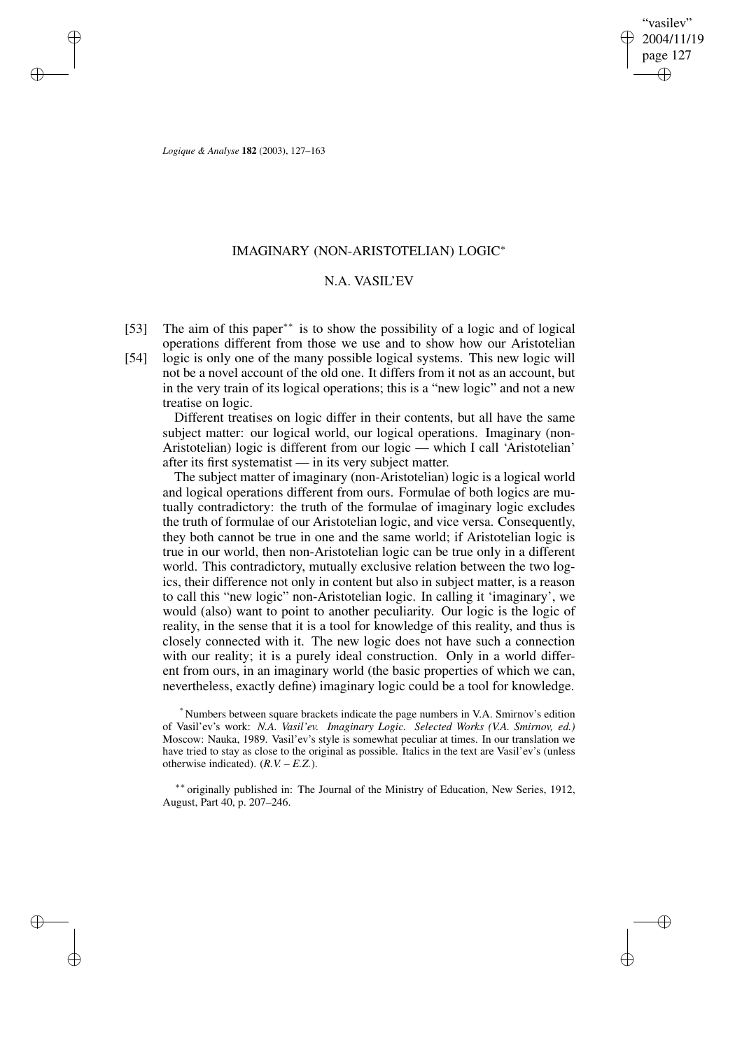"vasilev" 2004/11/19 page 127 ✐ ✐

✐

✐

*Logique & Analyse* **182** (2003), 127–163

✐

✐

✐

✐

# IMAGINARY (NON-ARISTOTELIAN) LOGIC<sup>∗</sup>

## N.A. VASIL'EV

- [53] The aim of this paper<sup>∗∗</sup> is to show the possibility of a logic and of logical operations different from those we use and to show how our Aristotelian
- [54] logic is only one of the many possible logical systems. This new logic will not be a novel account of the old one. It differs from it not as an account, but in the very train of its logical operations; this is a "new logic" and not a new treatise on logic.

Different treatises on logic differ in their contents, but all have the same subject matter: our logical world, our logical operations. Imaginary (non-Aristotelian) logic is different from our logic — which I call 'Aristotelian' after its first systematist — in its very subject matter.

The subject matter of imaginary (non-Aristotelian) logic is a logical world and logical operations different from ours. Formulae of both logics are mutually contradictory: the truth of the formulae of imaginary logic excludes the truth of formulae of our Aristotelian logic, and vice versa. Consequently, they both cannot be true in one and the same world; if Aristotelian logic is true in our world, then non-Aristotelian logic can be true only in a different world. This contradictory, mutually exclusive relation between the two logics, their difference not only in content but also in subject matter, is a reason to call this "new logic" non-Aristotelian logic. In calling it 'imaginary', we would (also) want to point to another peculiarity. Our logic is the logic of reality, in the sense that it is a tool for knowledge of this reality, and thus is closely connected with it. The new logic does not have such a connection with our reality; it is a purely ideal construction. Only in a world different from ours, in an imaginary world (the basic properties of which we can, nevertheless, exactly define) imaginary logic could be a tool for knowledge.

<sup>\*</sup> Numbers between square brackets indicate the page numbers in V.A. Smirnov's edition of Vasil'ev's work: *N.A. Vasil'ev. Imaginary Logic. Selected Works (V.A. Smirnov, ed.)* Moscow: Nauka, 1989. Vasil'ev's style is somewhat peculiar at times. In our translation we have tried to stay as close to the original as possible. Italics in the text are Vasil'ev's (unless otherwise indicated).  $(R.V. – E.Z.).$ 

<sup>∗∗</sup> originally published in: The Journal of the Ministry of Education, New Series, 1912, August, Part 40, p. 207–246.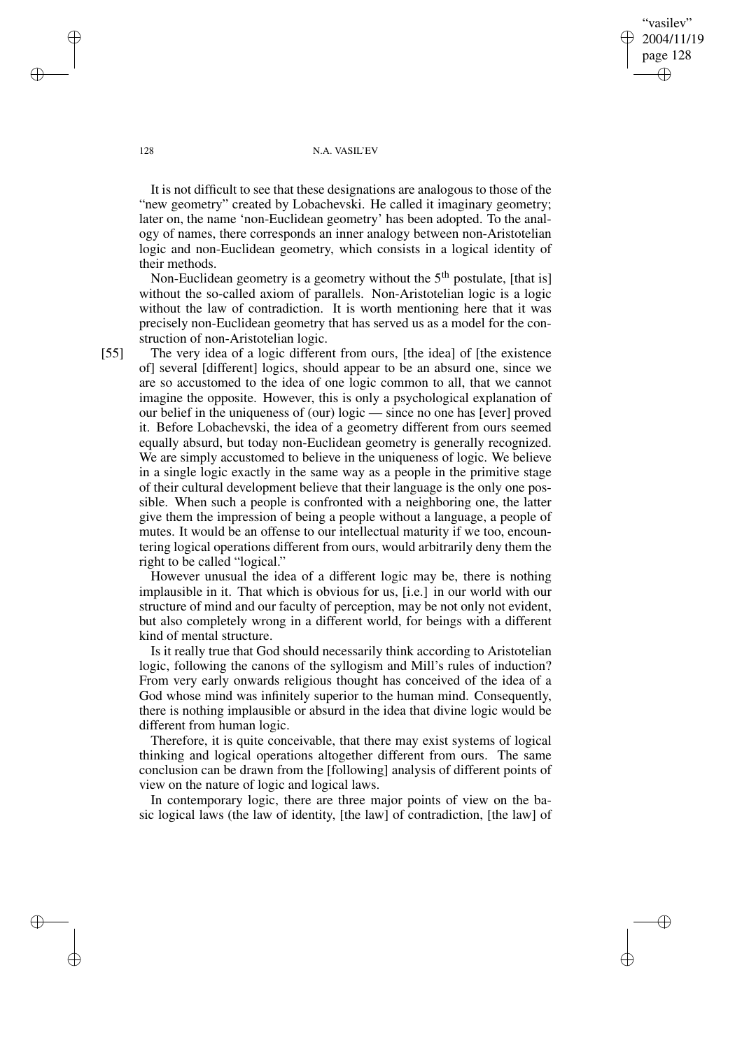"vasilev" 2004/11/19 page 128 ✐ ✐

✐

✐

## 128 N.A. VASIL'EV

It is not difficult to see that these designations are analogous to those of the "new geometry" created by Lobachevski. He called it imaginary geometry; later on, the name 'non-Euclidean geometry' has been adopted. To the analogy of names, there corresponds an inner analogy between non-Aristotelian logic and non-Euclidean geometry, which consists in a logical identity of their methods.

Non-Euclidean geometry is a geometry without the 5<sup>th</sup> postulate, [that is] without the so-called axiom of parallels. Non-Aristotelian logic is a logic without the law of contradiction. It is worth mentioning here that it was precisely non-Euclidean geometry that has served us as a model for the construction of non-Aristotelian logic.

[55] The very idea of a logic different from ours, [the idea] of [the existence of] several [different] logics, should appear to be an absurd one, since we are so accustomed to the idea of one logic common to all, that we cannot imagine the opposite. However, this is only a psychological explanation of our belief in the uniqueness of (our) logic — since no one has [ever] proved it. Before Lobachevski, the idea of a geometry different from ours seemed equally absurd, but today non-Euclidean geometry is generally recognized. We are simply accustomed to believe in the uniqueness of logic. We believe in a single logic exactly in the same way as a people in the primitive stage of their cultural development believe that their language is the only one possible. When such a people is confronted with a neighboring one, the latter give them the impression of being a people without a language, a people of mutes. It would be an offense to our intellectual maturity if we too, encountering logical operations different from ours, would arbitrarily deny them the right to be called "logical."

However unusual the idea of a different logic may be, there is nothing implausible in it. That which is obvious for us, [i.e.] in our world with our structure of mind and our faculty of perception, may be not only not evident, but also completely wrong in a different world, for beings with a different kind of mental structure.

Is it really true that God should necessarily think according to Aristotelian logic, following the canons of the syllogism and Mill's rules of induction? From very early onwards religious thought has conceived of the idea of a God whose mind was infinitely superior to the human mind. Consequently, there is nothing implausible or absurd in the idea that divine logic would be different from human logic.

Therefore, it is quite conceivable, that there may exist systems of logical thinking and logical operations altogether different from ours. The same conclusion can be drawn from the [following] analysis of different points of view on the nature of logic and logical laws.

In contemporary logic, there are three major points of view on the basic logical laws (the law of identity, [the law] of contradiction, [the law] of

✐

✐

✐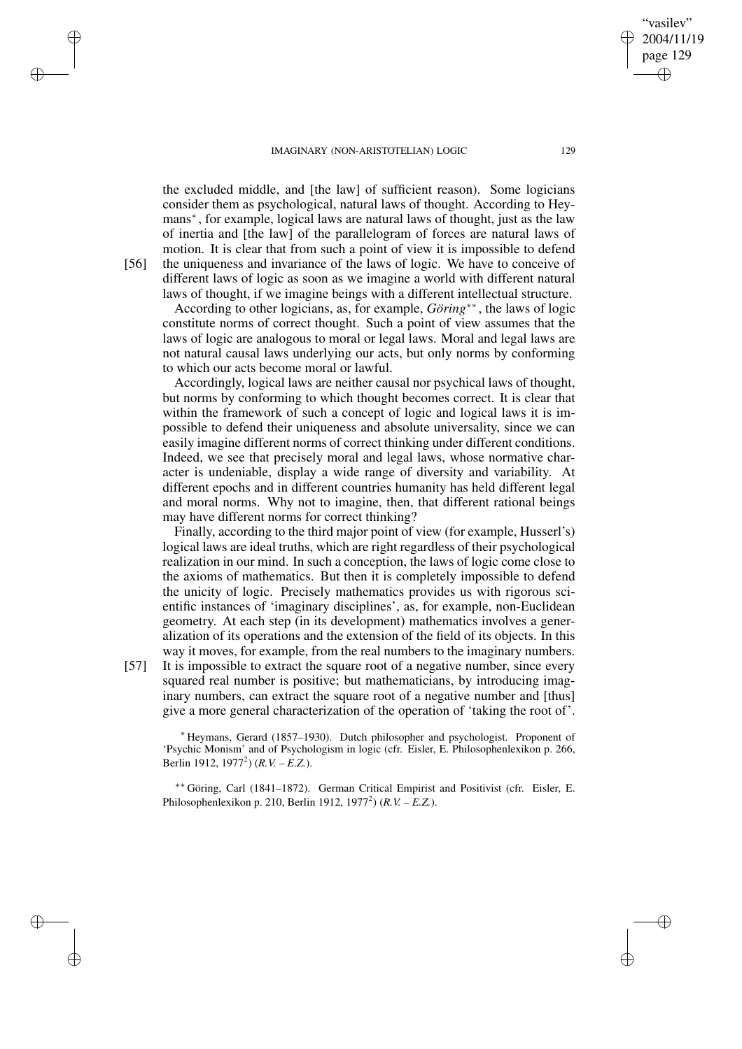the excluded middle, and [the law] of sufficient reason). Some logicians consider them as psychological, natural laws of thought. According to Heymans<sup>∗</sup>, for example, logical laws are natural laws of thought, just as the law of inertia and [the law] of the parallelogram of forces are natural laws of motion. It is clear that from such a point of view it is impossible to defend [56] the uniqueness and invariance of the laws of logic. We have to conceive of different laws of logic as soon as we imagine a world with different natural laws of thought, if we imagine beings with a different intellectual structure.

According to other logicians, as, for example, *Göring*∗∗ , the laws of logic constitute norms of correct thought. Such a point of view assumes that the laws of logic are analogous to moral or legal laws. Moral and legal laws are not natural causal laws underlying our acts, but only norms by conforming to which our acts become moral or lawful.

Accordingly, logical laws are neither causal nor psychical laws of thought, but norms by conforming to which thought becomes correct. It is clear that within the framework of such a concept of logic and logical laws it is impossible to defend their uniqueness and absolute universality, since we can easily imagine different norms of correct thinking under different conditions. Indeed, we see that precisely moral and legal laws, whose normative character is undeniable, display a wide range of diversity and variability. At different epochs and in different countries humanity has held different legal and moral norms. Why not to imagine, then, that different rational beings may have different norms for correct thinking?

Finally, according to the third major point of view (for example, Husserl's) logical laws are ideal truths, which are right regardless of their psychological realization in our mind. In such a conception, the laws of logic come close to the axioms of mathematics. But then it is completely impossible to defend the unicity of logic. Precisely mathematics provides us with rigorous scientific instances of 'imaginary disciplines', as, for example, non-Euclidean geometry. At each step (in its development) mathematics involves a generalization of its operations and the extension of the field of its objects. In this way it moves, for example, from the real numbers to the imaginary numbers.

[57] It is impossible to extract the square root of a negative number, since every squared real number is positive; but mathematicians, by introducing imaginary numbers, can extract the square root of a negative number and [thus] give a more general characterization of the operation of 'taking the root of'.

<sup>∗</sup> Heymans, Gerard (1857–1930). Dutch philosopher and psychologist. Proponent of 'Psychic Monism' and of Psychologism in logic (cfr. Eisler, E. Philosophenlexikon p. 266, Berlin 1912, 1977<sup>2</sup> ) (*R.V. – E.Z.*).

∗∗ Göring, Carl (1841–1872). German Critical Empirist and Positivist (cfr. Eisler, E. Philosophenlexikon p. 210, Berlin 1912, 1977<sup>2</sup> ) (*R.V. – E.Z.*).

✐

✐

✐

✐

✐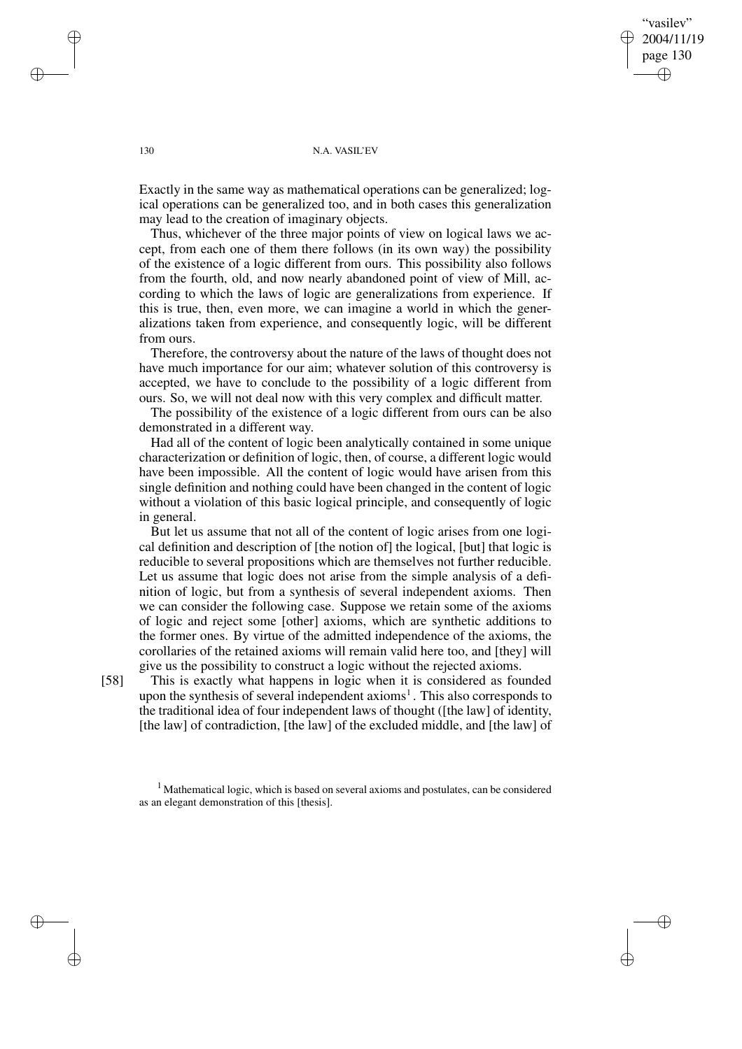"vasilev" 2004/11/19 page 130 ✐ ✐

✐

✐

## 130 N.A. VASIL'EV

Exactly in the same way as mathematical operations can be generalized; logical operations can be generalized too, and in both cases this generalization may lead to the creation of imaginary objects.

Thus, whichever of the three major points of view on logical laws we accept, from each one of them there follows (in its own way) the possibility of the existence of a logic different from ours. This possibility also follows from the fourth, old, and now nearly abandoned point of view of Mill, according to which the laws of logic are generalizations from experience. If this is true, then, even more, we can imagine a world in which the generalizations taken from experience, and consequently logic, will be different from ours.

Therefore, the controversy about the nature of the laws of thought does not have much importance for our aim; whatever solution of this controversy is accepted, we have to conclude to the possibility of a logic different from ours. So, we will not deal now with this very complex and difficult matter.

The possibility of the existence of a logic different from ours can be also demonstrated in a different way.

Had all of the content of logic been analytically contained in some unique characterization or definition of logic, then, of course, a different logic would have been impossible. All the content of logic would have arisen from this single definition and nothing could have been changed in the content of logic without a violation of this basic logical principle, and consequently of logic in general.

But let us assume that not all of the content of logic arises from one logical definition and description of [the notion of] the logical, [but] that logic is reducible to several propositions which are themselves not further reducible. Let us assume that logic does not arise from the simple analysis of a definition of logic, but from a synthesis of several independent axioms. Then we can consider the following case. Suppose we retain some of the axioms of logic and reject some [other] axioms, which are synthetic additions to the former ones. By virtue of the admitted independence of the axioms, the corollaries of the retained axioms will remain valid here too, and [they] will give us the possibility to construct a logic without the rejected axioms.

[58] This is exactly what happens in logic when it is considered as founded upon the synthesis of several independent axioms<sup>1</sup>. This also corresponds to the traditional idea of four independent laws of thought ([the law] of identity, [the law] of contradiction, [the law] of the excluded middle, and [the law] of

<sup>1</sup> Mathematical logic, which is based on several axioms and postulates, can be considered as an elegant demonstration of this [thesis].

✐

✐

✐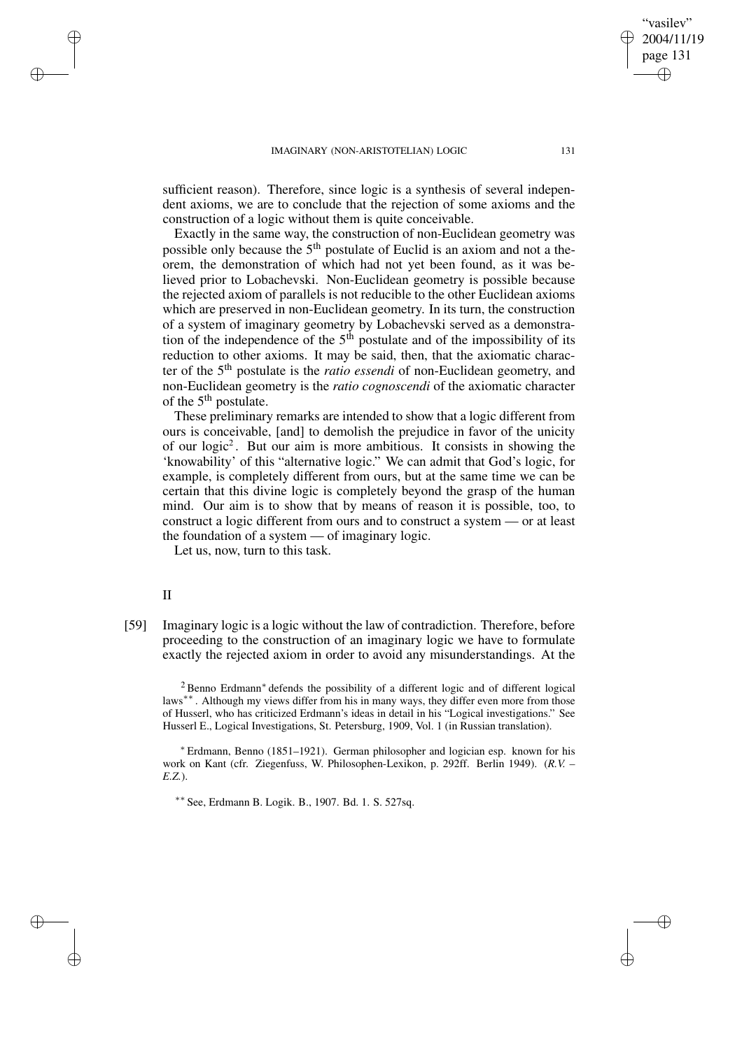sufficient reason). Therefore, since logic is a synthesis of several independent axioms, we are to conclude that the rejection of some axioms and the construction of a logic without them is quite conceivable.

Exactly in the same way, the construction of non-Euclidean geometry was possible only because the 5<sup>th</sup> postulate of Euclid is an axiom and not a theorem, the demonstration of which had not yet been found, as it was believed prior to Lobachevski. Non-Euclidean geometry is possible because the rejected axiom of parallels is not reducible to the other Euclidean axioms which are preserved in non-Euclidean geometry. In its turn, the construction of a system of imaginary geometry by Lobachevski served as a demonstration of the independence of the  $5<sup>th</sup>$  postulate and of the impossibility of its reduction to other axioms. It may be said, then, that the axiomatic character of the 5 th postulate is the *ratio essendi* of non-Euclidean geometry, and non-Euclidean geometry is the *ratio cognoscendi* of the axiomatic character of the 5<sup>th</sup> postulate.

These preliminary remarks are intended to show that a logic different from ours is conceivable, [and] to demolish the prejudice in favor of the unicity of our logic<sup>2</sup>. But our aim is more ambitious. It consists in showing the 'knowability' of this "alternative logic." We can admit that God's logic, for example, is completely different from ours, but at the same time we can be certain that this divine logic is completely beyond the grasp of the human mind. Our aim is to show that by means of reason it is possible, too, to construct a logic different from ours and to construct a system — or at least the foundation of a system — of imaginary logic.

Let us, now, turn to this task.

# II

✐

✐

✐

✐

[59] Imaginary logic is a logic without the law of contradiction. Therefore, before proceeding to the construction of an imaginary logic we have to formulate exactly the rejected axiom in order to avoid any misunderstandings. At the

<sup>2</sup> Benno Erdmann<sup>∗</sup> defends the possibility of a different logic and of different logical laws<sup>∗∗</sup>. Although my views differ from his in many ways, they differ even more from those of Husserl, who has criticized Erdmann's ideas in detail in his "Logical investigations." See Husserl E., Logical Investigations, St. Petersburg, 1909, Vol. 1 (in Russian translation).

<sup>∗</sup> Erdmann, Benno (1851–1921). German philosopher and logician esp. known for his work on Kant (cfr. Ziegenfuss, W. Philosophen-Lexikon, p. 292ff. Berlin 1949). (*R.V. – E.Z.*).

∗∗ See, Erdmann B. Logik. B., 1907. Bd. 1. S. 527sq.

"vasilev" 2004/11/19 page 131

✐

✐

✐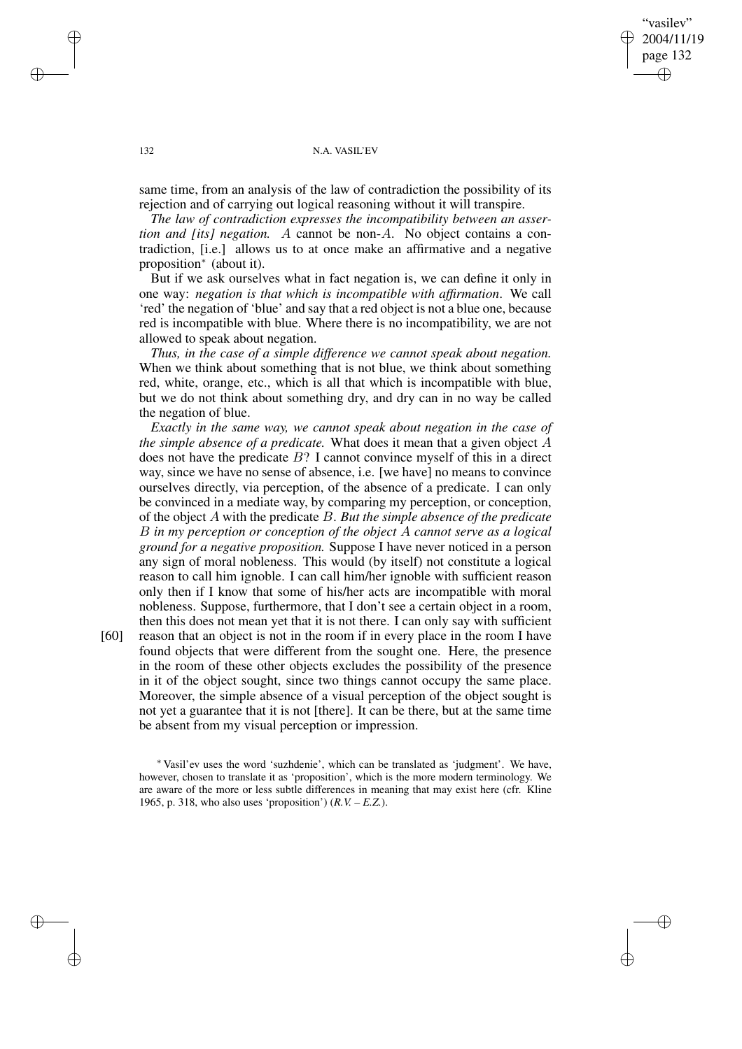"vasilev" 2004/11/19 page 132 ✐ ✐

✐

✐

## 132 N.A. VASIL'EV

same time, from an analysis of the law of contradiction the possibility of its rejection and of carrying out logical reasoning without it will transpire.

*The law of contradiction expresses the incompatibility between an assertion and [its] negation.* A cannot be non-A. No object contains a contradiction, [i.e.] allows us to at once make an affirmative and a negative proposition<sup>∗</sup> (about it).

But if we ask ourselves what in fact negation is, we can define it only in one way: *negation is that which is incompatible with affirmation*. We call 'red' the negation of 'blue' and say that a red object is not a blue one, because red is incompatible with blue. Where there is no incompatibility, we are not allowed to speak about negation.

*Thus, in the case of a simple difference we cannot speak about negation.* When we think about something that is not blue, we think about something red, white, orange, etc., which is all that which is incompatible with blue, but we do not think about something dry, and dry can in no way be called the negation of blue.

*Exactly in the same way, we cannot speak about negation in the case of the simple absence of a predicate.* What does it mean that a given object A does not have the predicate  $B$ ? I cannot convince myself of this in a direct way, since we have no sense of absence, i.e. [we have] no means to convince ourselves directly, via perception, of the absence of a predicate. I can only be convinced in a mediate way, by comparing my perception, or conception, of the object A with the predicate B. *But the simple absence of the predicate* B *in my perception or conception of the object* A *cannot serve as a logical ground for a negative proposition.* Suppose I have never noticed in a person any sign of moral nobleness. This would (by itself) not constitute a logical reason to call him ignoble. I can call him/her ignoble with sufficient reason only then if I know that some of his/her acts are incompatible with moral nobleness. Suppose, furthermore, that I don't see a certain object in a room, then this does not mean yet that it is not there. I can only say with sufficient

[60] reason that an object is not in the room if in every place in the room I have found objects that were different from the sought one. Here, the presence in the room of these other objects excludes the possibility of the presence in it of the object sought, since two things cannot occupy the same place. Moreover, the simple absence of a visual perception of the object sought is not yet a guarantee that it is not [there]. It can be there, but at the same time be absent from my visual perception or impression.

✐

✐

✐

<sup>∗</sup> Vasil'ev uses the word 'suzhdenie', which can be translated as 'judgment'. We have, however, chosen to translate it as 'proposition', which is the more modern terminology. We are aware of the more or less subtle differences in meaning that may exist here (cfr. Kline 1965, p. 318, who also uses 'proposition') (*R.V. – E.Z.*).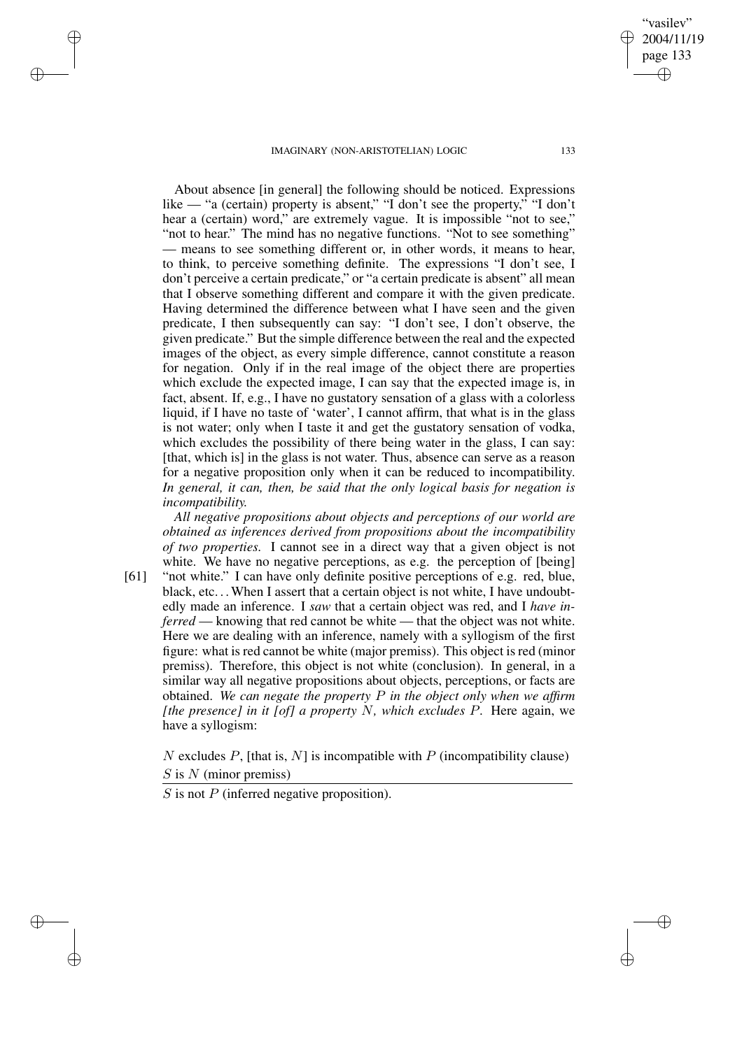✐

✐

✐

✐

About absence [in general] the following should be noticed. Expressions like — "a (certain) property is absent," "I don't see the property," "I don't hear a (certain) word," are extremely vague. It is impossible "not to see," "not to hear." The mind has no negative functions. "Not to see something" — means to see something different or, in other words, it means to hear, to think, to perceive something definite. The expressions "I don't see, I don't perceive a certain predicate," or "a certain predicate is absent" all mean that I observe something different and compare it with the given predicate. Having determined the difference between what I have seen and the given predicate, I then subsequently can say: "I don't see, I don't observe, the given predicate." But the simple difference between the real and the expected images of the object, as every simple difference, cannot constitute a reason for negation. Only if in the real image of the object there are properties which exclude the expected image, I can say that the expected image is, in fact, absent. If, e.g., I have no gustatory sensation of a glass with a colorless liquid, if I have no taste of 'water', I cannot affirm, that what is in the glass is not water; only when I taste it and get the gustatory sensation of vodka, which excludes the possibility of there being water in the glass, I can say: [that, which is] in the glass is not water. Thus, absence can serve as a reason for a negative proposition only when it can be reduced to incompatibility. *In general, it can, then, be said that the only logical basis for negation is incompatibility.*

*All negative propositions about objects and perceptions of our world are obtained as inferences derived from propositions about the incompatibility of two properties.* I cannot see in a direct way that a given object is not white. We have no negative perceptions, as e.g. the perception of [being]

[61] "not white." I can have only definite positive perceptions of e.g. red, blue, black, etc... When I assert that a certain object is not white, I have undoubtedly made an inference. I *saw* that a certain object was red, and I *have inferred* — knowing that red cannot be white — that the object was not white. Here we are dealing with an inference, namely with a syllogism of the first figure: what is red cannot be white (major premiss). This object is red (minor premiss). Therefore, this object is not white (conclusion). In general, in a similar way all negative propositions about objects, perceptions, or facts are obtained. *We can negate the property* P *in the object only when we affirm [the presence] in it [of] a property* N*, which excludes* P*.* Here again, we have a syllogism:

N excludes  $P$ , [that is, N] is incompatible with  $P$  (incompatibility clause)  $S$  is  $N$  (minor premiss)

 $S$  is not  $P$  (inferred negative proposition).

"vasilev" 2004/11/19 page 133

✐

✐

✐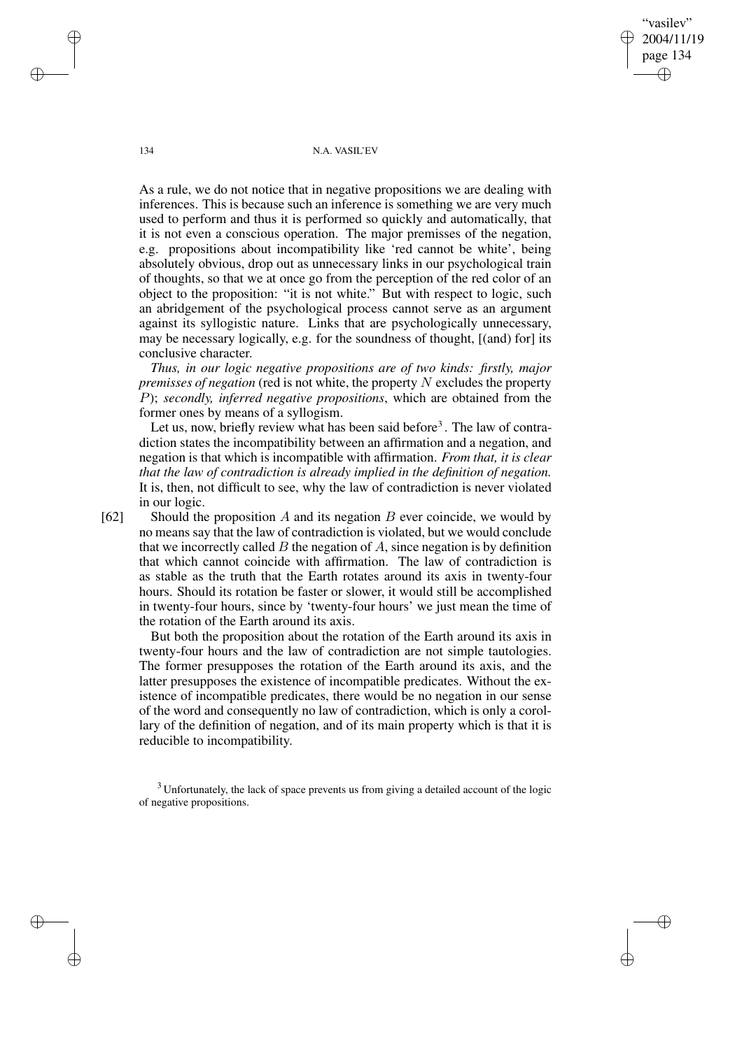"vasilev" 2004/11/19 page 134 ✐ ✐

✐

✐

134 N.A. VASIL'EV

As a rule, we do not notice that in negative propositions we are dealing with inferences. This is because such an inference is something we are very much used to perform and thus it is performed so quickly and automatically, that it is not even a conscious operation. The major premisses of the negation, e.g. propositions about incompatibility like 'red cannot be white', being absolutely obvious, drop out as unnecessary links in our psychological train of thoughts, so that we at once go from the perception of the red color of an object to the proposition: "it is not white." But with respect to logic, such an abridgement of the psychological process cannot serve as an argument against its syllogistic nature. Links that are psychologically unnecessary, may be necessary logically, e.g. for the soundness of thought,  $[(and)$  for  $]$  its conclusive character.

*Thus, in our logic negative propositions are of two kinds: firstly, major premisses of negation* (red is not white, the property N excludes the property P); *secondly, inferred negative propositions*, which are obtained from the former ones by means of a syllogism.

Let us, now, briefly review what has been said before<sup>3</sup>. The law of contradiction states the incompatibility between an affirmation and a negation, and negation is that which is incompatible with affirmation. *From that, it is clear that the law of contradiction is already implied in the definition of negation.* It is, then, not difficult to see, why the law of contradiction is never violated in our logic.

[62] Should the proposition A and its negation B ever coincide, we would by no means say that the law of contradiction is violated, but we would conclude that we incorrectly called  $B$  the negation of  $A$ , since negation is by definition that which cannot coincide with affirmation. The law of contradiction is as stable as the truth that the Earth rotates around its axis in twenty-four hours. Should its rotation be faster or slower, it would still be accomplished in twenty-four hours, since by 'twenty-four hours' we just mean the time of the rotation of the Earth around its axis.

But both the proposition about the rotation of the Earth around its axis in twenty-four hours and the law of contradiction are not simple tautologies. The former presupposes the rotation of the Earth around its axis, and the latter presupposes the existence of incompatible predicates. Without the existence of incompatible predicates, there would be no negation in our sense of the word and consequently no law of contradiction, which is only a corollary of the definition of negation, and of its main property which is that it is reducible to incompatibility.

<sup>3</sup> Unfortunately, the lack of space prevents us from giving a detailed account of the logic of negative propositions.

✐

✐

✐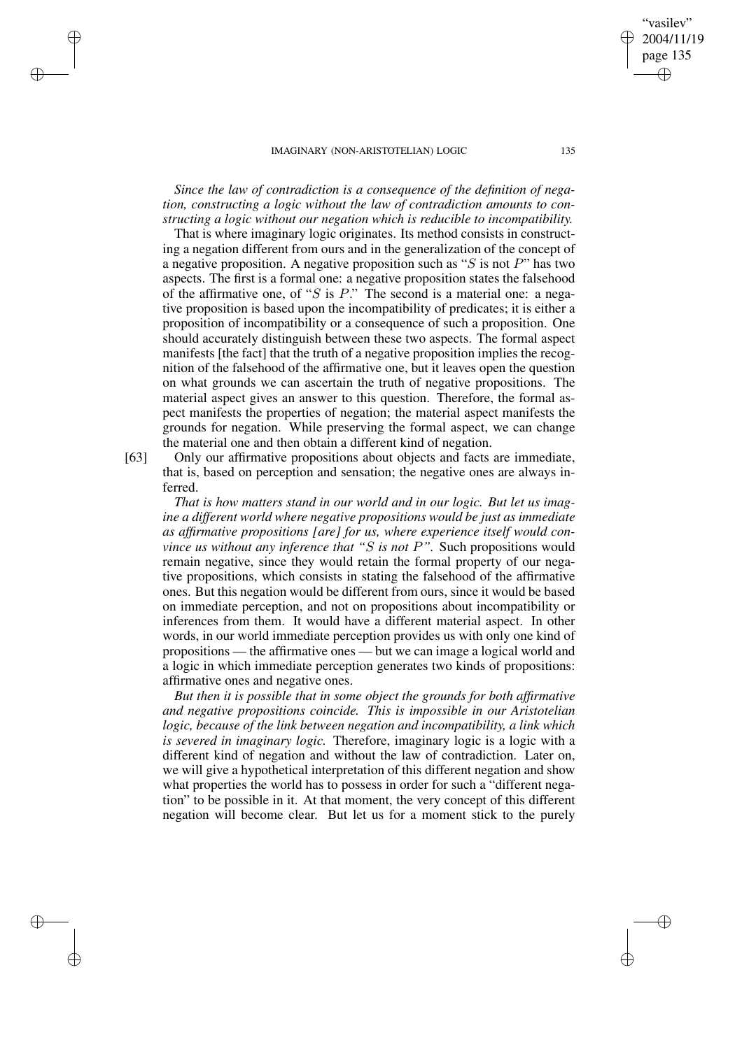*Since the law of contradiction is a consequence of the definition of negation, constructing a logic without the law of contradiction amounts to constructing a logic without our negation which is reducible to incompatibility.*

That is where imaginary logic originates. Its method consists in constructing a negation different from ours and in the generalization of the concept of a negative proposition. A negative proposition such as " $S$  is not  $P$ " has two aspects. The first is a formal one: a negative proposition states the falsehood of the affirmative one, of "S is  $P$ ." The second is a material one: a negative proposition is based upon the incompatibility of predicates; it is either a proposition of incompatibility or a consequence of such a proposition. One should accurately distinguish between these two aspects. The formal aspect manifests [the fact] that the truth of a negative proposition implies the recognition of the falsehood of the affirmative one, but it leaves open the question on what grounds we can ascertain the truth of negative propositions. The material aspect gives an answer to this question. Therefore, the formal aspect manifests the properties of negation; the material aspect manifests the grounds for negation. While preserving the formal aspect, we can change the material one and then obtain a different kind of negation.

✐

✐

✐

✐

[63] Only our affirmative propositions about objects and facts are immediate, that is, based on perception and sensation; the negative ones are always inferred.

*That is how matters stand in our world and in our logic. But let us imagine a different world where negative propositions would be just as immediate as affirmative propositions [are] for us, where experience itself would convince us without any inference that "*S *is not* P*".* Such propositions would remain negative, since they would retain the formal property of our negative propositions, which consists in stating the falsehood of the affirmative ones. But this negation would be different from ours, since it would be based on immediate perception, and not on propositions about incompatibility or inferences from them. It would have a different material aspect. In other words, in our world immediate perception provides us with only one kind of propositions — the affirmative ones — but we can image a logical world and a logic in which immediate perception generates two kinds of propositions: affirmative ones and negative ones.

*But then it is possible that in some object the grounds for both affirmative and negative propositions coincide. This is impossible in our Aristotelian logic, because of the link between negation and incompatibility, a link which is severed in imaginary logic.* Therefore, imaginary logic is a logic with a different kind of negation and without the law of contradiction. Later on, we will give a hypothetical interpretation of this different negation and show what properties the world has to possess in order for such a "different negation" to be possible in it. At that moment, the very concept of this different negation will become clear. But let us for a moment stick to the purely

"vasilev" 2004/11/19 page 135

✐

✐

✐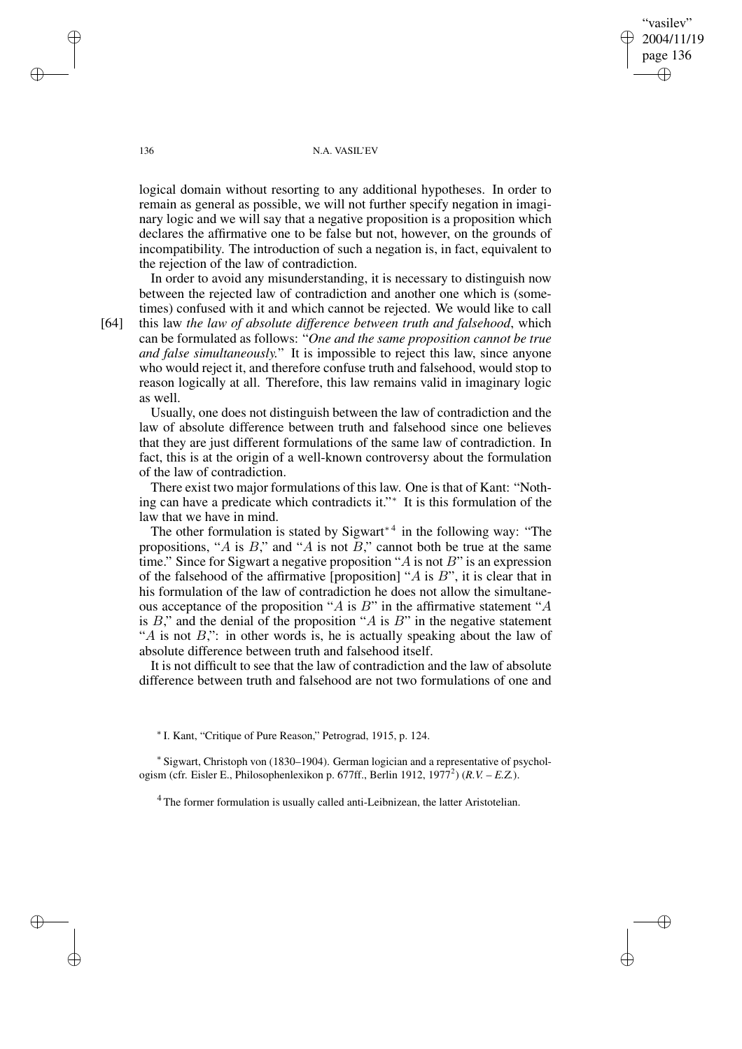"vasilev" 2004/11/19 page 136 ✐ ✐

✐

✐

## 136 N.A. VASIL'EV

logical domain without resorting to any additional hypotheses. In order to remain as general as possible, we will not further specify negation in imaginary logic and we will say that a negative proposition is a proposition which declares the affirmative one to be false but not, however, on the grounds of incompatibility. The introduction of such a negation is, in fact, equivalent to the rejection of the law of contradiction.

In order to avoid any misunderstanding, it is necessary to distinguish now between the rejected law of contradiction and another one which is (sometimes) confused with it and which cannot be rejected. We would like to call

[64] this law *the law of absolute difference between truth and falsehood*, which can be formulated as follows: "*One and the same proposition cannot be true and false simultaneously.*" It is impossible to reject this law, since anyone who would reject it, and therefore confuse truth and falsehood, would stop to reason logically at all. Therefore, this law remains valid in imaginary logic as well.

Usually, one does not distinguish between the law of contradiction and the law of absolute difference between truth and falsehood since one believes that they are just different formulations of the same law of contradiction. In fact, this is at the origin of a well-known controversy about the formulation of the law of contradiction.

There exist two major formulations of this law. One is that of Kant: "Nothing can have a predicate which contradicts it." ∗ It is this formulation of the law that we have in mind.

The other formulation is stated by Sigwart<sup>∗4</sup> in the following way: "The propositions, "A is B," and "A is not B," cannot both be true at the same time." Since for Sigwart a negative proposition " $\ddot{A}$  is not  $B$ " is an expression of the falsehood of the affirmative [proposition] " $A$  is  $B$ ", it is clear that in his formulation of the law of contradiction he does not allow the simultaneous acceptance of the proposition "A is  $B$ " in the affirmative statement "A is  $B$ ," and the denial of the proposition "A is  $B$ " in the negative statement "A is not  $B$ ,": in other words is, he is actually speaking about the law of absolute difference between truth and falsehood itself.

It is not difficult to see that the law of contradiction and the law of absolute difference between truth and falsehood are not two formulations of one and

∗ I. Kant, "Critique of Pure Reason," Petrograd, 1915, p. 124.

∗ Sigwart, Christoph von (1830–1904). German logician and a representative of psychologism (cfr. Eisler E., Philosophenlexikon p. 677ff., Berlin 1912, 1977<sup>2</sup> ) (*R.V. – E.Z.*).

<sup>4</sup> The former formulation is usually called anti-Leibnizean, the latter Aristotelian.

✐

✐

✐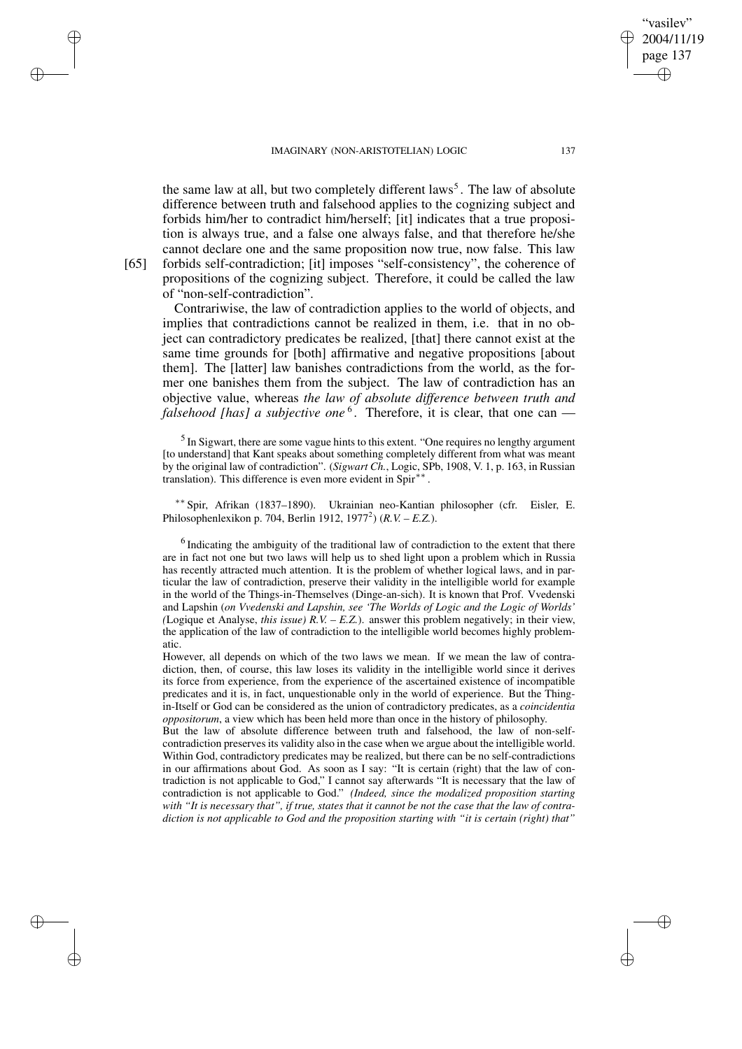IMAGINARY (NON-ARISTOTELIAN) LOGIC 137 the same law at all, but two completely different laws<sup>5</sup>. The law of absolute difference between truth and falsehood applies to the cognizing subject and

vasilev" 2004/11/19 page 137

✐

✐

✐

✐

✐

✐

✐

✐

forbids him/her to contradict him/herself; [it] indicates that a true proposition is always true, and a false one always false, and that therefore he/she cannot declare one and the same proposition now true, now false. This law [65] forbids self-contradiction; [it] imposes "self-consistency", the coherence of propositions of the cognizing subject. Therefore, it could be called the law of "non-self-contradiction".

Contrariwise, the law of contradiction applies to the world of objects, and implies that contradictions cannot be realized in them, i.e. that in no object can contradictory predicates be realized, [that] there cannot exist at the same time grounds for [both] affirmative and negative propositions [about them]. The [latter] law banishes contradictions from the world, as the former one banishes them from the subject. The law of contradiction has an objective value, whereas *the law of absolute difference between truth and falsehood [has] a subjective one* <sup>6</sup> . Therefore, it is clear, that one can —

<sup>5</sup> In Sigwart, there are some vague hints to this extent. "One requires no lengthy argument [to understand] that Kant speaks about something completely different from what was meant by the original law of contradiction". (*Sigwart Ch.*, Logic, SPb, 1908, V. 1, p. 163, in Russian translation). This difference is even more evident in Spir<sup>∗∗</sup>.

∗∗ Spir, Afrikan (1837–1890). Ukrainian neo-Kantian philosopher (cfr. Eisler, E. Philosophenlexikon p. 704, Berlin 1912, 1977<sup>2</sup> ) (*R.V. – E.Z.*).

<sup>6</sup> Indicating the ambiguity of the traditional law of contradiction to the extent that there are in fact not one but two laws will help us to shed light upon a problem which in Russia has recently attracted much attention. It is the problem of whether logical laws, and in particular the law of contradiction, preserve their validity in the intelligible world for example in the world of the Things-in-Themselves (Dinge-an-sich). It is known that Prof. Vvedenski and Lapshin (*on Vvedenski and Lapshin, see 'The Worlds of Logic and the Logic of Worlds' (*Logique et Analyse, *this issue) R.V. – E.Z.*). answer this problem negatively; in their view, the application of the law of contradiction to the intelligible world becomes highly problematic.

However, all depends on which of the two laws we mean. If we mean the law of contradiction, then, of course, this law loses its validity in the intelligible world since it derives its force from experience, from the experience of the ascertained existence of incompatible predicates and it is, in fact, unquestionable only in the world of experience. But the Thingin-Itself or God can be considered as the union of contradictory predicates, as a *coincidentia oppositorum*, a view which has been held more than once in the history of philosophy.

But the law of absolute difference between truth and falsehood, the law of non-selfcontradiction preserves its validity also in the case when we argue about the intelligible world. Within God, contradictory predicates may be realized, but there can be no self-contradictions in our affirmations about God. As soon as I say: "It is certain (right) that the law of contradiction is not applicable to God," I cannot say afterwards "It is necessary that the law of contradiction is not applicable to God." *(Indeed, since the modalized proposition starting* with "It is necessary that", if true, states that it cannot be not the case that the law of contra*diction is not applicable to God and the proposition starting with "it is certain (right) that"*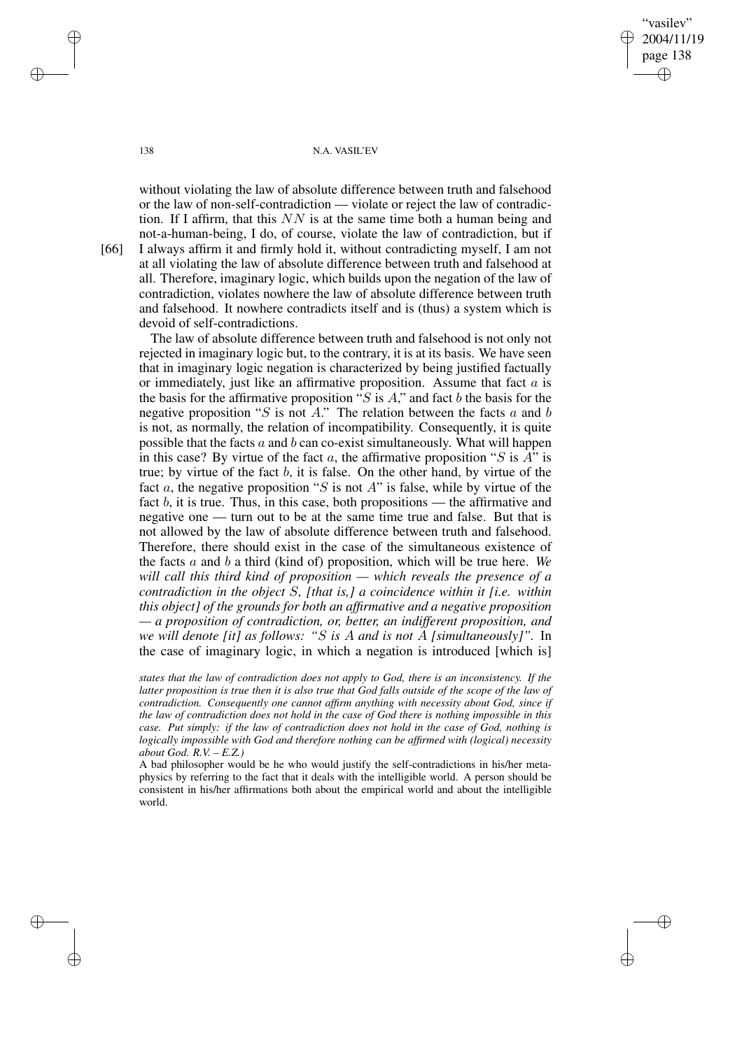"vasilev" 2004/11/19 page 138 ✐ ✐

✐

✐

## 138 N.A. VASIL'EV

without violating the law of absolute difference between truth and falsehood or the law of non-self-contradiction — violate or reject the law of contradiction. If I affirm, that this  $NN$  is at the same time both a human being and not-a-human-being, I do, of course, violate the law of contradiction, but if [66] I always affirm it and firmly hold it, without contradicting myself, I am not at all violating the law of absolute difference between truth and falsehood at all. Therefore, imaginary logic, which builds upon the negation of the law of contradiction, violates nowhere the law of absolute difference between truth and falsehood. It nowhere contradicts itself and is (thus) a system which is devoid of self-contradictions.

The law of absolute difference between truth and falsehood is not only not rejected in imaginary logic but, to the contrary, it is at its basis. We have seen that in imaginary logic negation is characterized by being justified factually or immediately, just like an affirmative proposition. Assume that fact  $a$  is the basis for the affirmative proposition " $S$  is  $A$ ," and fact  $b$  the basis for the negative proposition "S is not A." The relation between the facts  $a$  and  $b$ is not, as normally, the relation of incompatibility. Consequently, it is quite possible that the facts  $a$  and  $b$  can co-exist simultaneously. What will happen in this case? By virtue of the fact a, the affirmative proposition "S is  $A$ " is true; by virtue of the fact  $b$ , it is false. On the other hand, by virtue of the fact a, the negative proposition "S is not A" is false, while by virtue of the fact  $b$ , it is true. Thus, in this case, both propositions — the affirmative and negative one — turn out to be at the same time true and false. But that is not allowed by the law of absolute difference between truth and falsehood. Therefore, there should exist in the case of the simultaneous existence of the facts a and b a third (kind of) proposition, which will be true here. *We will call this third kind of proposition — which reveals the presence of a contradiction in the object* S*, [that is,] a coincidence within it [i.e. within this object] of the grounds for both an affirmative and a negative proposition — a proposition of contradiction, or, better, an indifferent proposition, and we will denote [it] as follows: "*S *is* A *and is not* A *[simultaneously]".* In the case of imaginary logic, in which a negation is introduced [which is]

*states that the law of contradiction does not apply to God, there is an inconsistency. If the* latter proposition is true then it is also true that God falls outside of the scope of the law of *contradiction. Consequently one cannot affirm anything with necessity about God, since if the law of contradiction does not hold in the case of God there is nothing impossible in this case. Put simply: if the law of contradiction does not hold in the case of God, nothing is logically impossible with God and therefore nothing can be affirmed with (logical) necessity about God. R.V. – E.Z.)*

A bad philosopher would be he who would justify the self-contradictions in his/her metaphysics by referring to the fact that it deals with the intelligible world. A person should be consistent in his/her affirmations both about the empirical world and about the intelligible world.

✐

✐

✐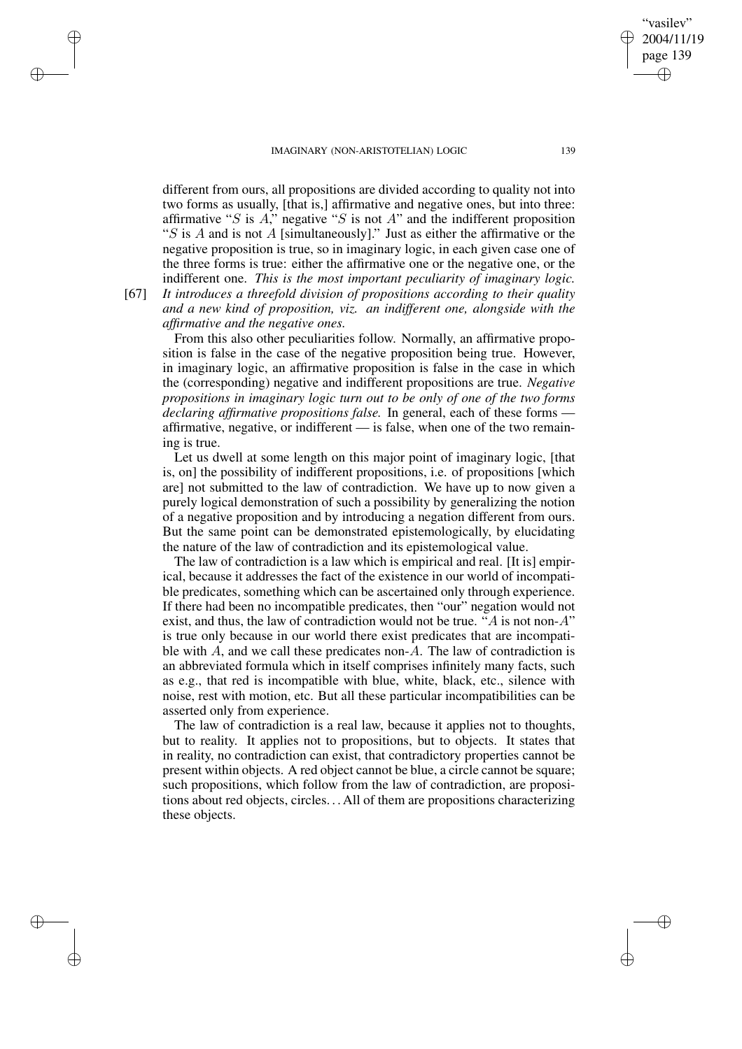page 139 ✐

✐

"vasilev" 2004/11/19

✐

✐

different from ours, all propositions are divided according to quality not into two forms as usually, [that is,] affirmative and negative ones, but into three: affirmative "S is A," negative "S is not A" and the indifferent proposition "S is A and is not A [simultaneously]." Just as either the affirmative or the negative proposition is true, so in imaginary logic, in each given case one of the three forms is true: either the affirmative one or the negative one, or the indifferent one. *This is the most important peculiarity of imaginary logic.*

✐

✐

✐

✐

[67] *It introduces a threefold division of propositions according to their quality and a new kind of proposition, viz. an indifferent one, alongside with the affirmative and the negative ones.*

From this also other peculiarities follow. Normally, an affirmative proposition is false in the case of the negative proposition being true. However, in imaginary logic, an affirmative proposition is false in the case in which the (corresponding) negative and indifferent propositions are true. *Negative propositions in imaginary logic turn out to be only of one of the two forms declaring affirmative propositions false.* In general, each of these forms affirmative, negative, or indifferent — is false, when one of the two remaining is true.

Let us dwell at some length on this major point of imaginary logic, [that is, on] the possibility of indifferent propositions, i.e. of propositions [which are] not submitted to the law of contradiction. We have up to now given a purely logical demonstration of such a possibility by generalizing the notion of a negative proposition and by introducing a negation different from ours. But the same point can be demonstrated epistemologically, by elucidating the nature of the law of contradiction and its epistemological value.

The law of contradiction is a law which is empirical and real. [It is] empirical, because it addresses the fact of the existence in our world of incompatible predicates, something which can be ascertained only through experience. If there had been no incompatible predicates, then "our" negation would not exist, and thus, the law of contradiction would not be true. "A is not non-A" is true only because in our world there exist predicates that are incompatible with  $A$ , and we call these predicates non- $A$ . The law of contradiction is an abbreviated formula which in itself comprises infinitely many facts, such as e.g., that red is incompatible with blue, white, black, etc., silence with noise, rest with motion, etc. But all these particular incompatibilities can be asserted only from experience.

The law of contradiction is a real law, because it applies not to thoughts, but to reality. It applies not to propositions, but to objects. It states that in reality, no contradiction can exist, that contradictory properties cannot be present within objects. A red object cannot be blue, a circle cannot be square; such propositions, which follow from the law of contradiction, are propositions about red objects, circles. . . All of them are propositions characterizing these objects.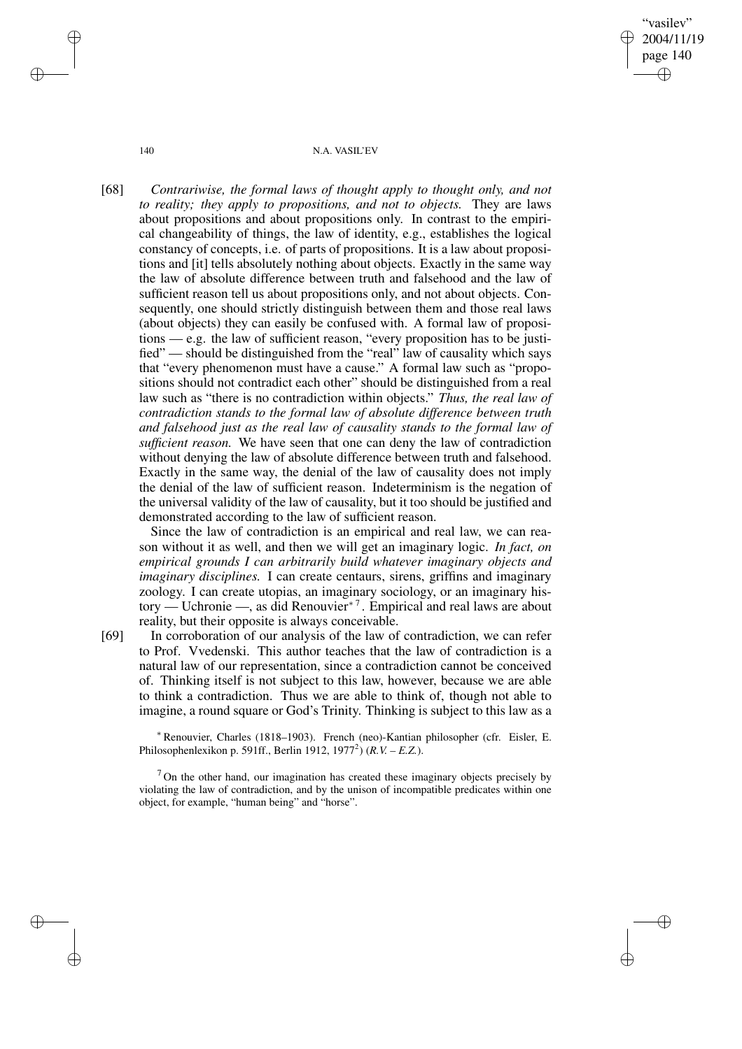"vasilev" 2004/11/19 page 140 ✐ ✐

✐

✐

140 N.A. VASIL'EV

[68] *Contrariwise, the formal laws of thought apply to thought only, and not to reality; they apply to propositions, and not to objects.* They are laws about propositions and about propositions only. In contrast to the empirical changeability of things, the law of identity, e.g., establishes the logical constancy of concepts, i.e. of parts of propositions. It is a law about propositions and [it] tells absolutely nothing about objects. Exactly in the same way the law of absolute difference between truth and falsehood and the law of sufficient reason tell us about propositions only, and not about objects. Consequently, one should strictly distinguish between them and those real laws (about objects) they can easily be confused with. A formal law of propositions — e.g. the law of sufficient reason, "every proposition has to be justified" — should be distinguished from the "real" law of causality which says that "every phenomenon must have a cause." A formal law such as "propositions should not contradict each other" should be distinguished from a real law such as "there is no contradiction within objects." *Thus, the real law of contradiction stands to the formal law of absolute difference between truth and falsehood just as the real law of causality stands to the formal law of sufficient reason.* We have seen that one can deny the law of contradiction without denying the law of absolute difference between truth and falsehood. Exactly in the same way, the denial of the law of causality does not imply the denial of the law of sufficient reason. Indeterminism is the negation of the universal validity of the law of causality, but it too should be justified and demonstrated according to the law of sufficient reason.

Since the law of contradiction is an empirical and real law, we can reason without it as well, and then we will get an imaginary logic. *In fact, on empirical grounds I can arbitrarily build whatever imaginary objects and imaginary disciplines.* I can create centaurs, sirens, griffins and imaginary zoology. I can create utopias, an imaginary sociology, or an imaginary history — Uchronie —, as did Renouvier<sup>∗</sup> <sup>7</sup> . Empirical and real laws are about reality, but their opposite is always conceivable.

[69] In corroboration of our analysis of the law of contradiction, we can refer to Prof. Vvedenski. This author teaches that the law of contradiction is a natural law of our representation, since a contradiction cannot be conceived of. Thinking itself is not subject to this law, however, because we are able to think a contradiction. Thus we are able to think of, though not able to imagine, a round square or God's Trinity. Thinking is subject to this law as a

<sup>∗</sup>Renouvier, Charles (1818–1903). French (neo)-Kantian philosopher (cfr. Eisler, E. Philosophenlexikon p. 591ff., Berlin 1912, 1977<sup>2</sup> ) (*R.V. – E.Z.*).

<sup>7</sup> On the other hand, our imagination has created these imaginary objects precisely by violating the law of contradiction, and by the unison of incompatible predicates within one object, for example, "human being" and "horse".

✐

✐

✐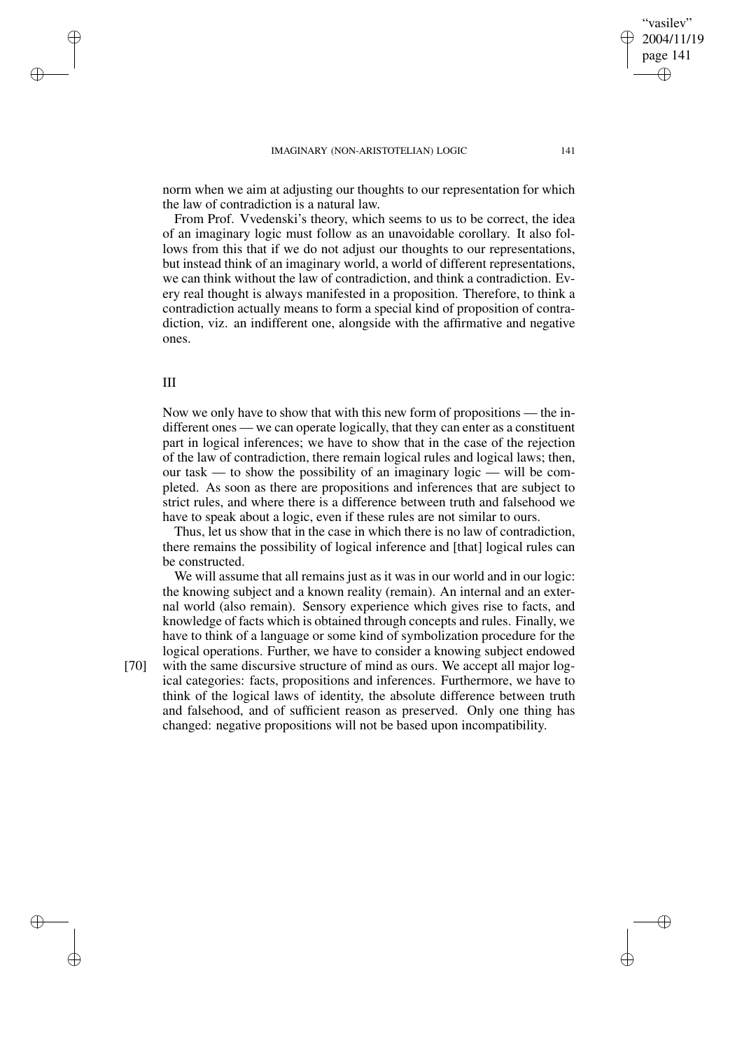norm when we aim at adjusting our thoughts to our representation for which the law of contradiction is a natural law.

From Prof. Vvedenski's theory, which seems to us to be correct, the idea of an imaginary logic must follow as an unavoidable corollary. It also follows from this that if we do not adjust our thoughts to our representations, but instead think of an imaginary world, a world of different representations, we can think without the law of contradiction, and think a contradiction. Every real thought is always manifested in a proposition. Therefore, to think a contradiction actually means to form a special kind of proposition of contradiction, viz. an indifferent one, alongside with the affirmative and negative ones.

# III

✐

✐

Now we only have to show that with this new form of propositions — the indifferent ones — we can operate logically, that they can enter as a constituent part in logical inferences; we have to show that in the case of the rejection of the law of contradiction, there remain logical rules and logical laws; then, our task — to show the possibility of an imaginary logic — will be completed. As soon as there are propositions and inferences that are subject to strict rules, and where there is a difference between truth and falsehood we have to speak about a logic, even if these rules are not similar to ours.

Thus, let us show that in the case in which there is no law of contradiction, there remains the possibility of logical inference and [that] logical rules can be constructed.

We will assume that all remains just as it was in our world and in our logic: the knowing subject and a known reality (remain). An internal and an external world (also remain). Sensory experience which gives rise to facts, and knowledge of facts which is obtained through concepts and rules. Finally, we have to think of a language or some kind of symbolization procedure for the logical operations. Further, we have to consider a knowing subject endowed

✐

✐

[70] with the same discursive structure of mind as ours. We accept all major logical categories: facts, propositions and inferences. Furthermore, we have to think of the logical laws of identity, the absolute difference between truth and falsehood, and of sufficient reason as preserved. Only one thing has changed: negative propositions will not be based upon incompatibility.

"vasilev" 2004/11/19 page 141

✐

✐

✐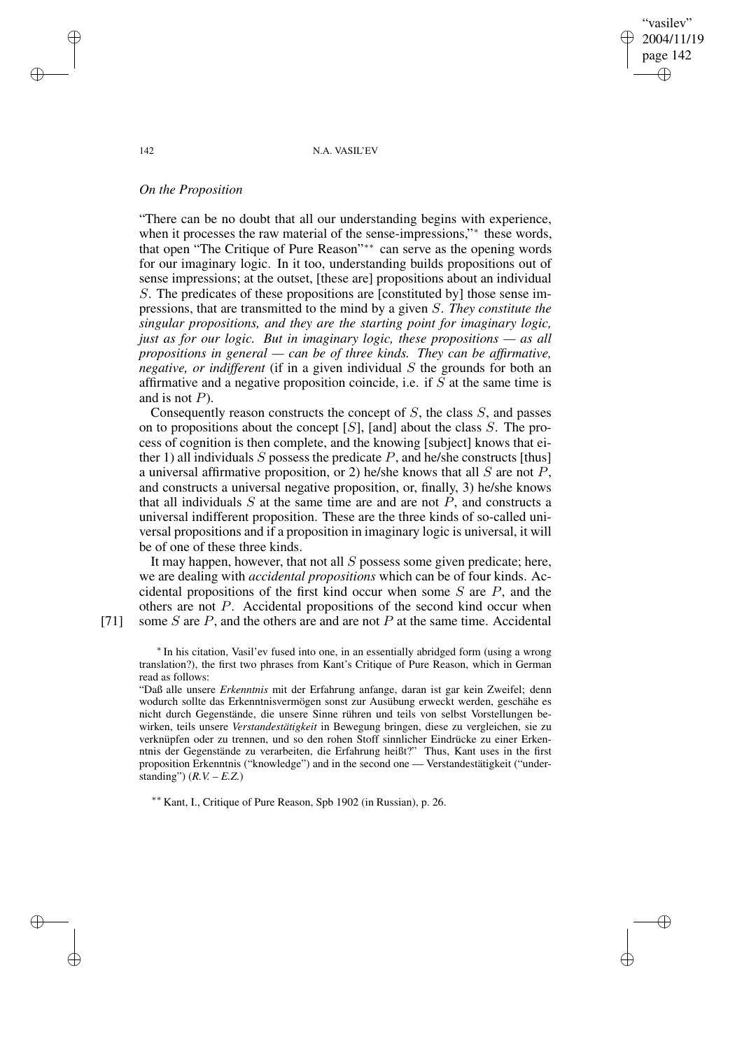"vasilev" 2004/11/19 page 142 ✐ ✐

✐

✐

#### 142 N.A. VASIL'EV

## *On the Proposition*

"There can be no doubt that all our understanding begins with experience, when it processes the raw material of the sense-impressions,"\* these words, that open "The Critique of Pure Reason"∗∗ can serve as the opening words for our imaginary logic. In it too, understanding builds propositions out of sense impressions; at the outset, [these are] propositions about an individual S. The predicates of these propositions are [constituted by] those sense impressions, that are transmitted to the mind by a given S. *They constitute the singular propositions, and they are the starting point for imaginary logic, just as for our logic. But in imaginary logic, these propositions — as all propositions in general — can be of three kinds. They can be affirmative, negative, or indifferent* (if in a given individual S the grounds for both an affirmative and a negative proposition coincide, i.e. if  $S$  at the same time is and is not  $P$ ).

Consequently reason constructs the concept of  $S$ , the class  $S$ , and passes on to propositions about the concept  $[S]$ , [and] about the class  $S$ . The process of cognition is then complete, and the knowing [subject] knows that either 1) all individuals S possess the predicate P, and he/she constructs [thus] a universal affirmative proposition, or 2) he/she knows that all  $S$  are not  $P$ , and constructs a universal negative proposition, or, finally, 3) he/she knows that all individuals  $S$  at the same time are and are not  $P$ , and constructs a universal indifferent proposition. These are the three kinds of so-called universal propositions and if a proposition in imaginary logic is universal, it will be of one of these three kinds.

It may happen, however, that not all S possess some given predicate; here, we are dealing with *accidental propositions* which can be of four kinds. Accidental propositions of the first kind occur when some  $S$  are  $P$ , and the others are not P. Accidental propositions of the second kind occur when [71] some S are P, and the others are and are not P at the same time. Accidental

✐

✐

∗ In his citation, Vasil'ev fused into one, in an essentially abridged form (using a wrong translation?), the first two phrases from Kant's Critique of Pure Reason, which in German read as follows:

"Daß alle unsere *Erkenntnis* mit der Erfahrung anfange, daran ist gar kein Zweifel; denn wodurch sollte das Erkenntnisvermögen sonst zur Ausübung erweckt werden, geschähe es nicht durch Gegenstände, die unsere Sinne rühren und teils von selbst Vorstellungen bewirken, teils unsere *Verstandestätigkeit* in Bewegung bringen, diese zu vergleichen, sie zu verknüpfen oder zu trennen, und so den rohen Stoff sinnlicher Eindrücke zu einer Erkenntnis der Gegenstände zu verarbeiten, die Erfahrung heißt?" Thus, Kant uses in the first proposition Erkenntnis ("knowledge") and in the second one — Verstandestätigkeit ("understanding")  $(R, V, -E, Z)$ 

∗∗ Kant, I., Critique of Pure Reason, Spb <sup>1902</sup> (in Russian), p. 26.

✐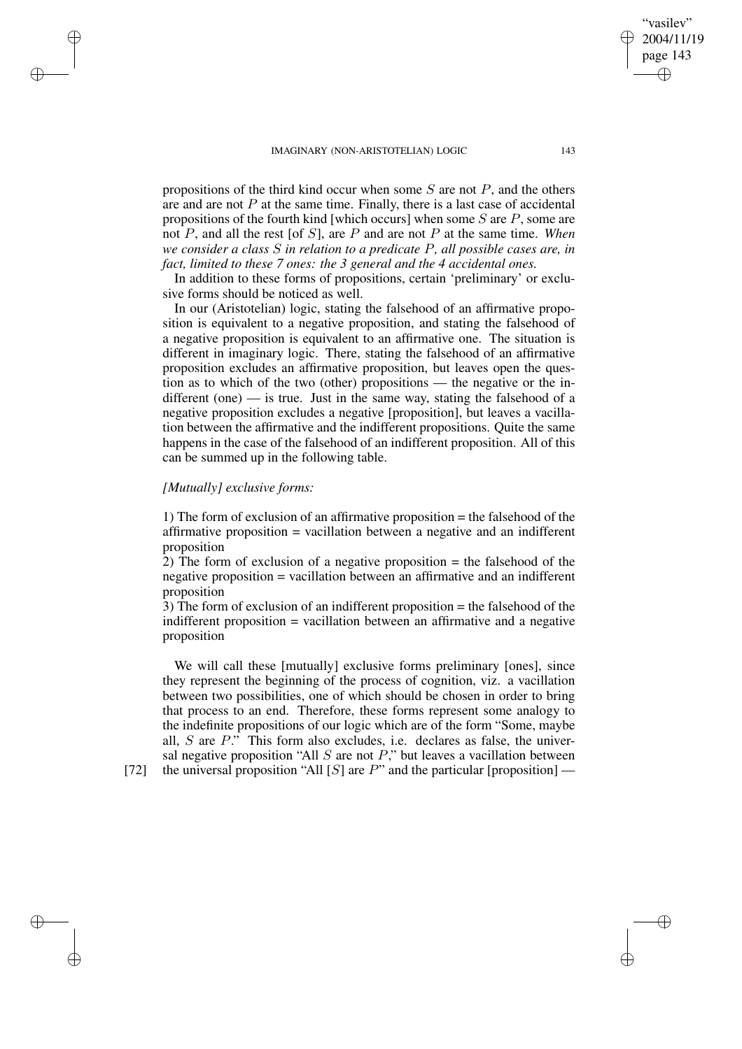propositions of the third kind occur when some  $S$  are not  $P$ , and the others are and are not  $P$  at the same time. Finally, there is a last case of accidental propositions of the fourth kind [which occurs] when some  $S$  are  $P$ , some are not P, and all the rest [of S], are P and are not P at the same time. *When we consider a class* S *in relation to a predicate* P*, all possible cases are, in fact, limited to these 7 ones: the 3 general and the 4 accidental ones.*

In addition to these forms of propositions, certain 'preliminary' or exclusive forms should be noticed as well.

In our (Aristotelian) logic, stating the falsehood of an affirmative proposition is equivalent to a negative proposition, and stating the falsehood of a negative proposition is equivalent to an affirmative one. The situation is different in imaginary logic. There, stating the falsehood of an affirmative proposition excludes an affirmative proposition, but leaves open the question as to which of the two (other) propositions — the negative or the indifferent (one)  $\frac{1}{1}$  is true. Just in the same way, stating the falsehood of a negative proposition excludes a negative [proposition], but leaves a vacillation between the affirmative and the indifferent propositions. Quite the same happens in the case of the falsehood of an indifferent proposition. All of this can be summed up in the following table.

# *[Mutually] exclusive forms:*

1) The form of exclusion of an affirmative proposition = the falsehood of the affirmative proposition = vacillation between a negative and an indifferent proposition

2) The form of exclusion of a negative proposition = the falsehood of the negative proposition = vacillation between an affirmative and an indifferent proposition

3) The form of exclusion of an indifferent proposition = the falsehood of the indifferent proposition = vacillation between an affirmative and a negative proposition

We will call these [mutually] exclusive forms preliminary [ones], since they represent the beginning of the process of cognition, viz. a vacillation between two possibilities, one of which should be chosen in order to bring that process to an end. Therefore, these forms represent some analogy to the indefinite propositions of our logic which are of the form "Some, maybe all,  $S$  are  $P$ ." This form also excludes, i.e. declares as false, the universal negative proposition "All  $S$  are not  $P$ ," but leaves a vacillation between [72] the universal proposition "All [S] are  $P$ " and the particular [proposition] —

✐

✐

✐

✐

"vasilev" 2004/11/19 page 143

✐

✐

✐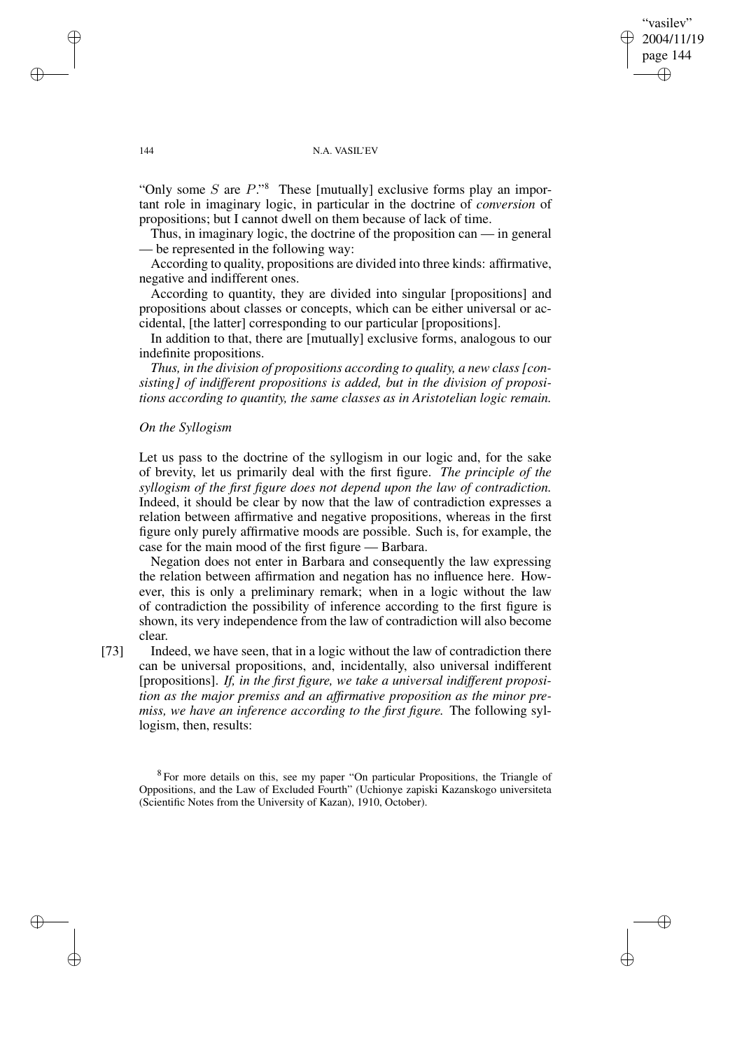vasilev" 2004/11/19 page 144 ✐ ✐

✐

✐

## 144 N.A. VASIL'EV

"Only some  $S$  are  $P$ ."<sup>8</sup> These [mutually] exclusive forms play an important role in imaginary logic, in particular in the doctrine of *conversion* of propositions; but I cannot dwell on them because of lack of time.

Thus, in imaginary logic, the doctrine of the proposition can — in general — be represented in the following way:

According to quality, propositions are divided into three kinds: affirmative, negative and indifferent ones.

According to quantity, they are divided into singular [propositions] and propositions about classes or concepts, which can be either universal or accidental, [the latter] corresponding to our particular [propositions].

In addition to that, there are [mutually] exclusive forms, analogous to our indefinite propositions.

*Thus, in the division of propositions according to quality, a new class [consisting] of indifferent propositions is added, but in the division of propositions according to quantity, the same classes as in Aristotelian logic remain.*

## *On the Syllogism*

Let us pass to the doctrine of the syllogism in our logic and, for the sake of brevity, let us primarily deal with the first figure. *The principle of the syllogism of the first figure does not depend upon the law of contradiction.* Indeed, it should be clear by now that the law of contradiction expresses a relation between affirmative and negative propositions, whereas in the first figure only purely affirmative moods are possible. Such is, for example, the case for the main mood of the first figure — Barbara.

Negation does not enter in Barbara and consequently the law expressing the relation between affirmation and negation has no influence here. However, this is only a preliminary remark; when in a logic without the law of contradiction the possibility of inference according to the first figure is shown, its very independence from the law of contradiction will also become clear.

[73] Indeed, we have seen, that in a logic without the law of contradiction there can be universal propositions, and, incidentally, also universal indifferent [propositions]. *If, in the first figure, we take a universal indifferent proposition as the major premiss and an affirmative proposition as the minor premiss, we have an inference according to the first figure.* The following syllogism, then, results:

<sup>8</sup> For more details on this, see my paper "On particular Propositions, the Triangle of Oppositions, and the Law of Excluded Fourth" (Uchionye zapiski Kazanskogo universiteta (Scientific Notes from the University of Kazan), 1910, October).

✐

✐

✐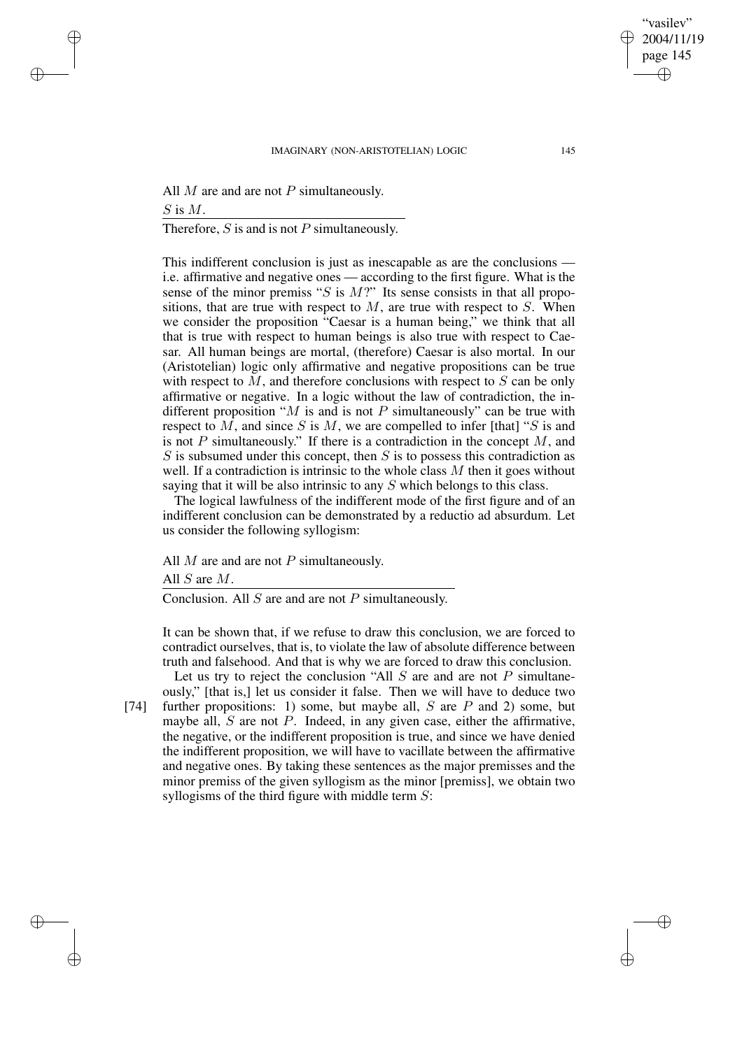All  $M$  are and are not  $P$  simultaneously.  $S$  is  $M$ .

Therefore,  $S$  is and is not  $P$  simultaneously.

This indifferent conclusion is just as inescapable as are the conclusions i.e. affirmative and negative ones — according to the first figure. What is the sense of the minor premiss " $S$  is  $M$ ?" Its sense consists in that all propositions, that are true with respect to  $M$ , are true with respect to  $S$ . When we consider the proposition "Caesar is a human being," we think that all that is true with respect to human beings is also true with respect to Caesar. All human beings are mortal, (therefore) Caesar is also mortal. In our (Aristotelian) logic only affirmative and negative propositions can be true with respect to  $M$ , and therefore conclusions with respect to  $S$  can be only affirmative or negative. In a logic without the law of contradiction, the indifferent proposition " $M$  is and is not  $P$  simultaneously" can be true with respect to  $M$ , and since  $S$  is  $M$ , we are compelled to infer [that] " $S$  is and is not  $P$  simultaneously." If there is a contradiction in the concept  $M$ , and  $S$  is subsumed under this concept, then  $S$  is to possess this contradiction as well. If a contradiction is intrinsic to the whole class  $M$  then it goes without saying that it will be also intrinsic to any S which belongs to this class.

The logical lawfulness of the indifferent mode of the first figure and of an indifferent conclusion can be demonstrated by a reductio ad absurdum. Let us consider the following syllogism:

All  $M$  are and are not  $P$  simultaneously.

All S are M.

Conclusion. All  $S$  are and are not  $P$  simultaneously.

It can be shown that, if we refuse to draw this conclusion, we are forced to contradict ourselves, that is, to violate the law of absolute difference between truth and falsehood. And that is why we are forced to draw this conclusion. Let us try to reject the conclusion "All  $S$  are and are not  $P$  simultane-

✐

✐

✐

✐

ously," [that is,] let us consider it false. Then we will have to deduce two [74] further propositions: 1) some, but maybe all,  $S$  are  $P$  and 2) some, but maybe all,  $S$  are not  $P$ . Indeed, in any given case, either the affirmative, the negative, or the indifferent proposition is true, and since we have denied the indifferent proposition, we will have to vacillate between the affirmative and negative ones. By taking these sentences as the major premisses and the minor premiss of the given syllogism as the minor [premiss], we obtain two syllogisms of the third figure with middle term  $S$ :

"vasilev" 2004/11/19 page 145

✐

✐

✐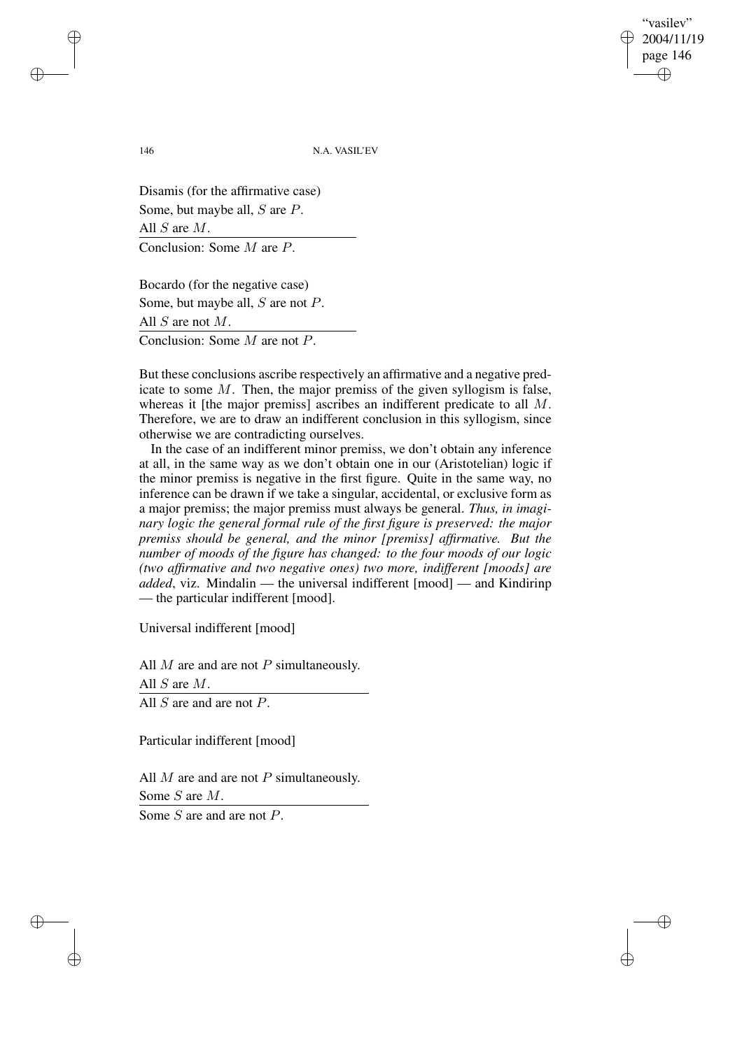"vasilev" 2004/11/19 page 146 ✐ ✐

✐

✐

146 N.A. VASIL'EV

Disamis (for the affirmative case) Some, but maybe all, S are P. All S are M. Conclusion: Some M are P.

Bocardo (for the negative case) Some, but maybe all, S are not P. All S are not M. Conclusion: Some M are not P.

But these conclusions ascribe respectively an affirmative and a negative predicate to some M. Then, the major premiss of the given syllogism is false, whereas it [the major premiss] ascribes an indifferent predicate to all M. Therefore, we are to draw an indifferent conclusion in this syllogism, since otherwise we are contradicting ourselves.

In the case of an indifferent minor premiss, we don't obtain any inference at all, in the same way as we don't obtain one in our (Aristotelian) logic if the minor premiss is negative in the first figure. Quite in the same way, no inference can be drawn if we take a singular, accidental, or exclusive form as a major premiss; the major premiss must always be general. *Thus, in imaginary logic the general formal rule of the first figure is preserved: the major premiss should be general, and the minor [premiss] affirmative. But the number of moods of the figure has changed: to the four moods of our logic (two affirmative and two negative ones) two more, indifferent [moods] are added*, viz. Mindalin — the universal indifferent [mood] — and Kindirinp — the particular indifferent [mood].

Universal indifferent [mood]

All  $M$  are and are not  $P$  simultaneously. All S are M. All *S* are and are not *P*.

Particular indifferent [mood]

All  $M$  are and are not  $P$  simultaneously. Some S are M.

Some *S* are and are not *P*.

✐

✐

✐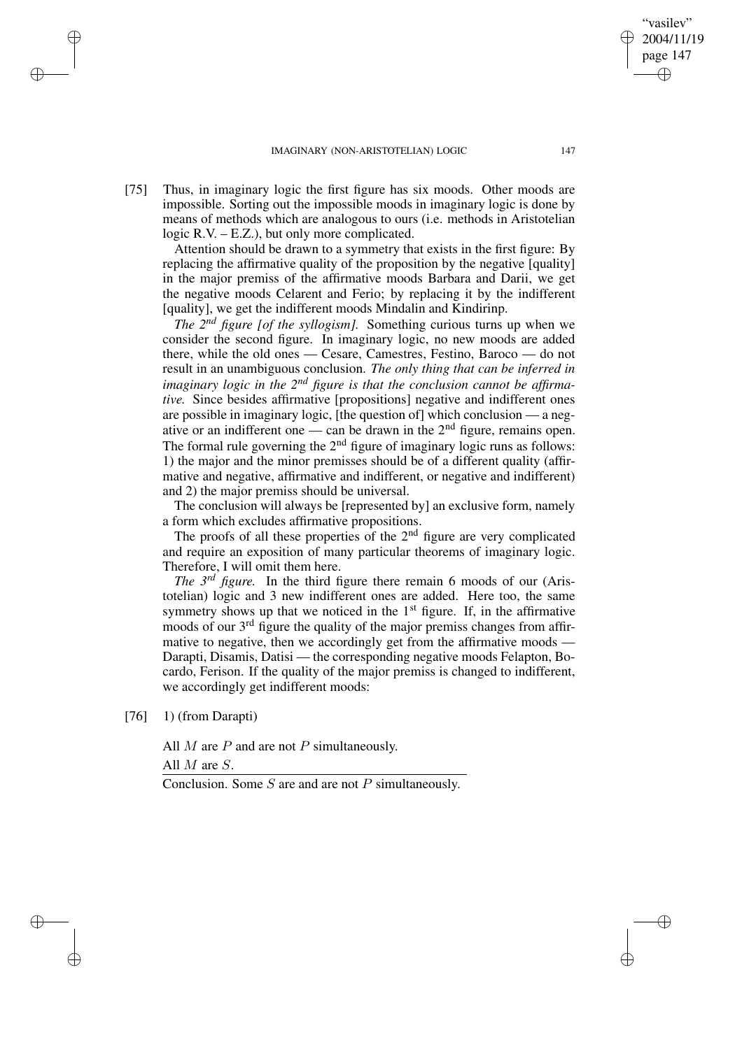[75] Thus, in imaginary logic the first figure has six moods. Other moods are impossible. Sorting out the impossible moods in imaginary logic is done by means of methods which are analogous to ours (i.e. methods in Aristotelian logic R.V. – E.Z.), but only more complicated.

Attention should be drawn to a symmetry that exists in the first figure: By replacing the affirmative quality of the proposition by the negative [quality] in the major premiss of the affirmative moods Barbara and Darii, we get the negative moods Celarent and Ferio; by replacing it by the indifferent [quality], we get the indifferent moods Mindalin and Kindirinp.

*The 2 nd figure [of the syllogism].* Something curious turns up when we consider the second figure. In imaginary logic, no new moods are added there, while the old ones — Cesare, Camestres, Festino, Baroco — do not result in an unambiguous conclusion. *The only thing that can be inferred in imaginary logic in the*  $2^{nd}$  *figure is that the conclusion cannot be affirmative.* Since besides affirmative [propositions] negative and indifferent ones are possible in imaginary logic, [the question of] which conclusion — a negative or an indifferent one — can be drawn in the  $2<sup>nd</sup>$  figure, remains open. The formal rule governing the  $2<sup>nd</sup>$  figure of imaginary logic runs as follows: 1) the major and the minor premisses should be of a different quality (affirmative and negative, affirmative and indifferent, or negative and indifferent) and 2) the major premiss should be universal.

The conclusion will always be [represented by] an exclusive form, namely a form which excludes affirmative propositions.

The proofs of all these properties of the  $2<sup>nd</sup>$  figure are very complicated and require an exposition of many particular theorems of imaginary logic. Therefore, I will omit them here.

*The 3 rd figure.* In the third figure there remain 6 moods of our (Aristotelian) logic and 3 new indifferent ones are added. Here too, the same symmetry shows up that we noticed in the  $1<sup>st</sup>$  figure. If, in the affirmative moods of our 3<sup>rd</sup> figure the quality of the major premiss changes from affirmative to negative, then we accordingly get from the affirmative moods — Darapti, Disamis, Datisi — the corresponding negative moods Felapton, Bocardo, Ferison. If the quality of the major premiss is changed to indifferent, we accordingly get indifferent moods:

[76] 1) (from Darapti)

✐

✐

✐

✐

All  $M$  are  $P$  and are not  $P$  simultaneously.

All  $M$  are  $S$ .

Conclusion. Some  $S$  are and are not  $P$  simultaneously.

"vasilev" 2004/11/19 page 147

✐

✐

✐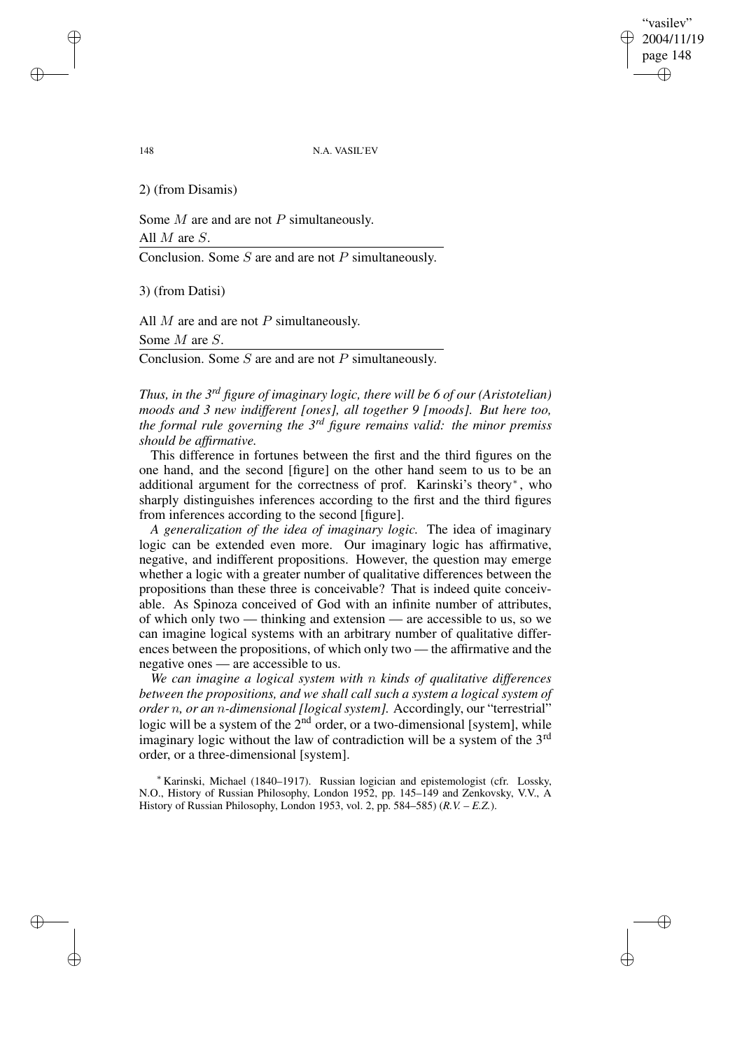"vasilev" 2004/11/19 page 148 ✐ ✐

✐

✐

148 N.A. VASIL'EV

2) (from Disamis)

Some  $M$  are and are not  $P$  simultaneously.

All M are S.

Conclusion. Some  $S$  are and are not  $P$  simultaneously.

3) (from Datisi)

All  $M$  are and are not  $P$  simultaneously. Some M are S.

Conclusion. Some  $S$  are and are not  $P$  simultaneously.

*Thus, in the 3 rd figure of imaginary logic, there will be 6 of our (Aristotelian) moods and 3 new indifferent [ones], all together 9 [moods]. But here too, the formal rule governing the 3 rd figure remains valid: the minor premiss should be affirmative.*

This difference in fortunes between the first and the third figures on the one hand, and the second [figure] on the other hand seem to us to be an additional argument for the correctness of prof. Karinski's theory<sup>∗</sup> , who sharply distinguishes inferences according to the first and the third figures from inferences according to the second [figure].

*A generalization of the idea of imaginary logic.* The idea of imaginary logic can be extended even more. Our imaginary logic has affirmative, negative, and indifferent propositions. However, the question may emerge whether a logic with a greater number of qualitative differences between the propositions than these three is conceivable? That is indeed quite conceivable. As Spinoza conceived of God with an infinite number of attributes, of which only two — thinking and extension — are accessible to us, so we can imagine logical systems with an arbitrary number of qualitative differences between the propositions, of which only two — the affirmative and the negative ones — are accessible to us.

*We can imagine a logical system with* n *kinds of qualitative differences between the propositions, and we shall call such a system a logical system of order* n*, or an* n*-dimensional [logical system].* Accordingly, our "terrestrial" logic will be a system of the 2<sup>nd</sup> order, or a two-dimensional [system], while imaginary logic without the law of contradiction will be a system of the 3<sup>rd</sup> order, or a three-dimensional [system].

<sup>∗</sup> Karinski, Michael (1840–1917). Russian logician and epistemologist (cfr. Lossky, N.O., History of Russian Philosophy, London 1952, pp. 145–149 and Zenkovsky, V.V., A History of Russian Philosophy, London 1953, vol. 2, pp. 584–585) (*R.V. – E.Z.*).

✐

✐

✐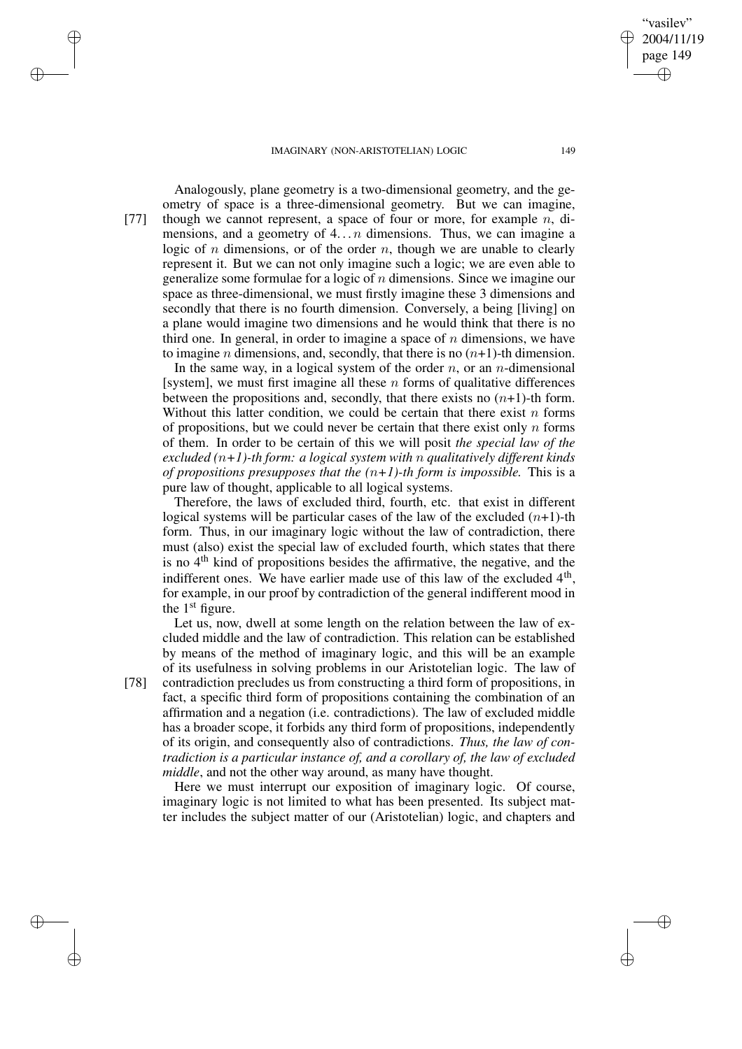2004/11/19 page 149 ✐ ✐

✐

✐

"vasilev"

Analogously, plane geometry is a two-dimensional geometry, and the geometry of space is a three-dimensional geometry. But we can imagine, [77] though we cannot represent, a space of four or more, for example  $n$ , dimensions, and a geometry of  $4...n$  dimensions. Thus, we can imagine a logic of n dimensions, or of the order  $n$ , though we are unable to clearly represent it. But we can not only imagine such a logic; we are even able to generalize some formulae for a logic of  $n$  dimensions. Since we imagine our space as three-dimensional, we must firstly imagine these 3 dimensions and secondly that there is no fourth dimension. Conversely, a being [living] on a plane would imagine two dimensions and he would think that there is no third one. In general, in order to imagine a space of  $n$  dimensions, we have to imagine *n* dimensions, and, secondly, that there is no  $(n+1)$ -th dimension.

In the same way, in a logical system of the order  $n$ , or an *n*-dimensional [system], we must first imagine all these  $n$  forms of qualitative differences between the propositions and, secondly, that there exists no  $(n+1)$ -th form. Without this latter condition, we could be certain that there exist  $n$  forms of propositions, but we could never be certain that there exist only  $n$  forms of them. In order to be certain of this we will posit *the special law of the excluded (*n*+1)-th form: a logical system with* n *qualitatively different kinds of propositions presupposes that the*  $(n+1)$ -th *form is impossible.* This is a pure law of thought, applicable to all logical systems.

Therefore, the laws of excluded third, fourth, etc. that exist in different logical systems will be particular cases of the law of the excluded  $(n+1)$ -th form. Thus, in our imaginary logic without the law of contradiction, there must (also) exist the special law of excluded fourth, which states that there is no 4<sup>th</sup> kind of propositions besides the affirmative, the negative, and the indifferent ones. We have earlier made use of this law of the excluded  $4<sup>th</sup>$ , for example, in our proof by contradiction of the general indifferent mood in the  $1<sup>st</sup>$  figure.

Let us, now, dwell at some length on the relation between the law of excluded middle and the law of contradiction. This relation can be established by means of the method of imaginary logic, and this will be an example of its usefulness in solving problems in our Aristotelian logic. The law of

✐

✐

✐

✐

[78] contradiction precludes us from constructing a third form of propositions, in fact, a specific third form of propositions containing the combination of an affirmation and a negation (i.e. contradictions). The law of excluded middle has a broader scope, it forbids any third form of propositions, independently of its origin, and consequently also of contradictions. *Thus, the law of contradiction is a particular instance of, and a corollary of, the law of excluded middle*, and not the other way around, as many have thought.

Here we must interrupt our exposition of imaginary logic. Of course, imaginary logic is not limited to what has been presented. Its subject matter includes the subject matter of our (Aristotelian) logic, and chapters and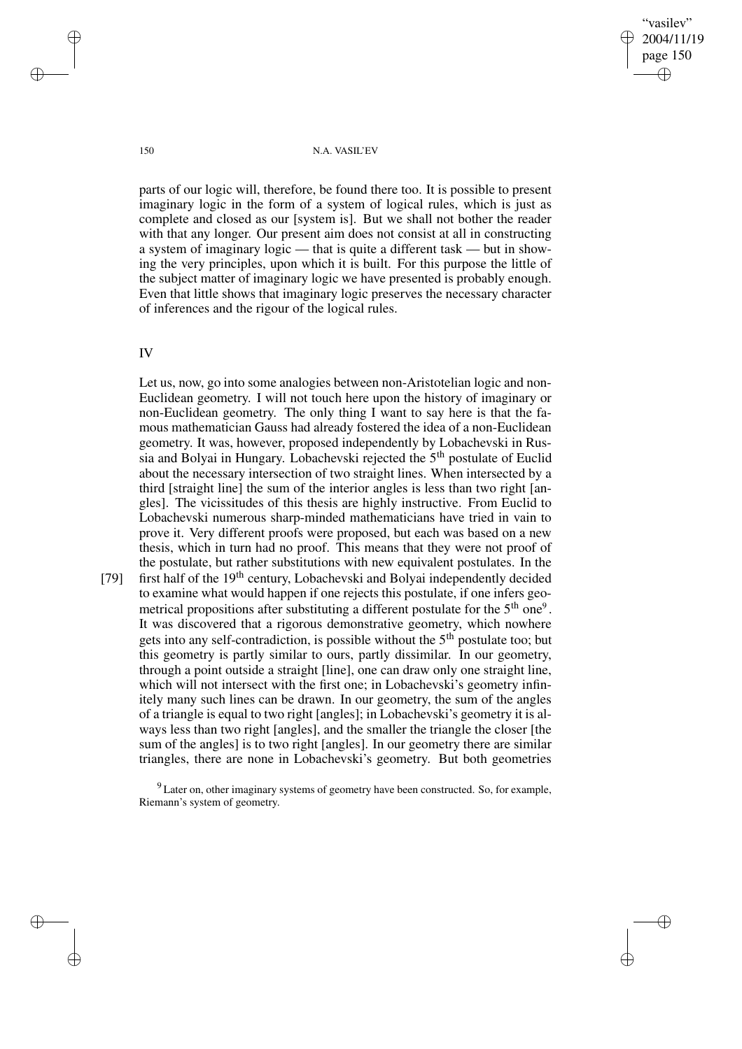"vasilev" 2004/11/19 page 150 ✐ ✐

✐

✐

150 N.A. VASIL'EV

parts of our logic will, therefore, be found there too. It is possible to present imaginary logic in the form of a system of logical rules, which is just as complete and closed as our [system is]. But we shall not bother the reader with that any longer. Our present aim does not consist at all in constructing a system of imaginary logic — that is quite a different task — but in showing the very principles, upon which it is built. For this purpose the little of the subject matter of imaginary logic we have presented is probably enough. Even that little shows that imaginary logic preserves the necessary character of inferences and the rigour of the logical rules.

IV

Let us, now, go into some analogies between non-Aristotelian logic and non-Euclidean geometry. I will not touch here upon the history of imaginary or non-Euclidean geometry. The only thing I want to say here is that the famous mathematician Gauss had already fostered the idea of a non-Euclidean geometry. It was, however, proposed independently by Lobachevski in Russia and Bolyai in Hungary. Lobachevski rejected the 5<sup>th</sup> postulate of Euclid about the necessary intersection of two straight lines. When intersected by a third [straight line] the sum of the interior angles is less than two right [angles]. The vicissitudes of this thesis are highly instructive. From Euclid to Lobachevski numerous sharp-minded mathematicians have tried in vain to prove it. Very different proofs were proposed, but each was based on a new thesis, which in turn had no proof. This means that they were not proof of the postulate, but rather substitutions with new equivalent postulates. In the

[79] first half of the 19<sup>th</sup> century, Lobachevski and Bolyai independently decided to examine what would happen if one rejects this postulate, if one infers geometrical propositions after substituting a different postulate for the  $5<sup>th</sup>$  one<sup>9</sup>. It was discovered that a rigorous demonstrative geometry, which nowhere gets into any self-contradiction, is possible without the  $5<sup>th</sup>$  postulate too; but this geometry is partly similar to ours, partly dissimilar. In our geometry, through a point outside a straight [line], one can draw only one straight line, which will not intersect with the first one; in Lobachevski's geometry infinitely many such lines can be drawn. In our geometry, the sum of the angles of a triangle is equal to two right [angles]; in Lobachevski's geometry it is always less than two right [angles], and the smaller the triangle the closer [the sum of the angles] is to two right [angles]. In our geometry there are similar triangles, there are none in Lobachevski's geometry. But both geometries

<sup>9</sup> Later on, other imaginary systems of geometry have been constructed. So, for example, Riemann's system of geometry.

✐

✐

✐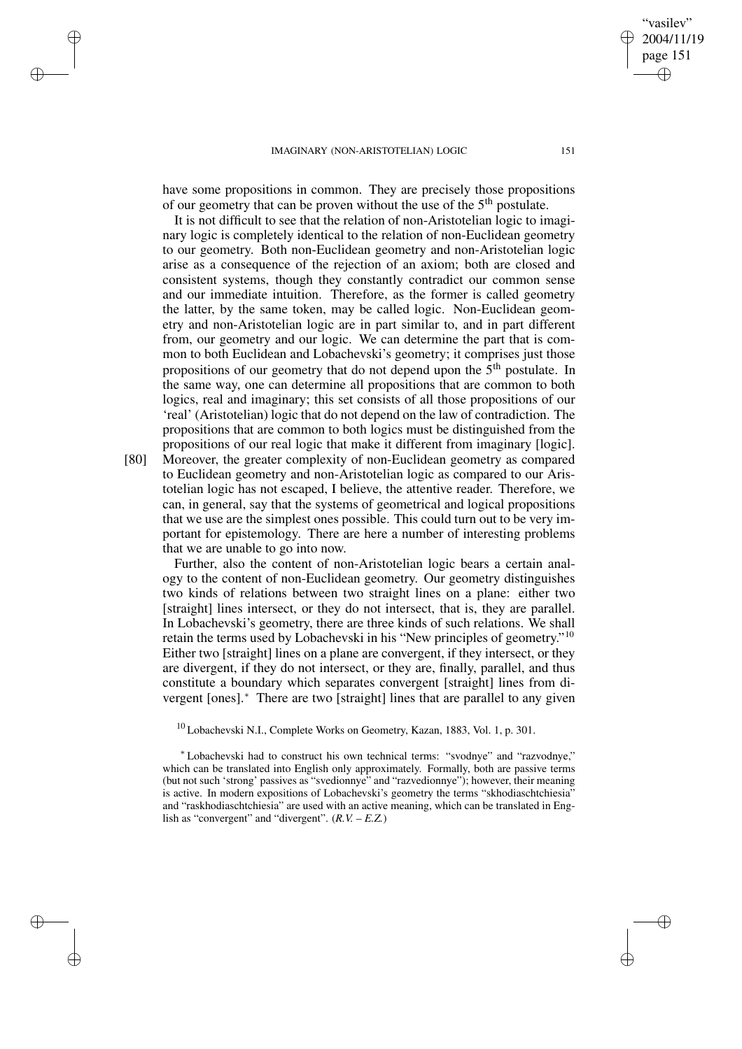✐

✐

✐

✐

have some propositions in common. They are precisely those propositions of our geometry that can be proven without the use of the 5<sup>th</sup> postulate.

It is not difficult to see that the relation of non-Aristotelian logic to imaginary logic is completely identical to the relation of non-Euclidean geometry to our geometry. Both non-Euclidean geometry and non-Aristotelian logic arise as a consequence of the rejection of an axiom; both are closed and consistent systems, though they constantly contradict our common sense and our immediate intuition. Therefore, as the former is called geometry the latter, by the same token, may be called logic. Non-Euclidean geometry and non-Aristotelian logic are in part similar to, and in part different from, our geometry and our logic. We can determine the part that is common to both Euclidean and Lobachevski's geometry; it comprises just those propositions of our geometry that do not depend upon the 5<sup>th</sup> postulate. In the same way, one can determine all propositions that are common to both logics, real and imaginary; this set consists of all those propositions of our 'real' (Aristotelian) logic that do not depend on the law of contradiction. The propositions that are common to both logics must be distinguished from the propositions of our real logic that make it different from imaginary [logic].

[80] Moreover, the greater complexity of non-Euclidean geometry as compared to Euclidean geometry and non-Aristotelian logic as compared to our Aristotelian logic has not escaped, I believe, the attentive reader. Therefore, we can, in general, say that the systems of geometrical and logical propositions that we use are the simplest ones possible. This could turn out to be very important for epistemology. There are here a number of interesting problems that we are unable to go into now.

Further, also the content of non-Aristotelian logic bears a certain analogy to the content of non-Euclidean geometry. Our geometry distinguishes two kinds of relations between two straight lines on a plane: either two [straight] lines intersect, or they do not intersect, that is, they are parallel. In Lobachevski's geometry, there are three kinds of such relations. We shall retain the terms used by Lobachevski in his "New principles of geometry."<sup>10</sup> Either two [straight] lines on a plane are convergent, if they intersect, or they are divergent, if they do not intersect, or they are, finally, parallel, and thus constitute a boundary which separates convergent [straight] lines from divergent [ones].<sup>∗</sup> There are two [straight] lines that are parallel to any given

<sup>10</sup> Lobachevski N.I., Complete Works on Geometry, Kazan, 1883, Vol. 1, p. 301.

<sup>∗</sup> Lobachevski had to construct his own technical terms: "svodnye" and "razvodnye," which can be translated into English only approximately. Formally, both are passive terms (but not such 'strong' passives as "svedionnye" and "razvedionnye"); however, their meaning is active. In modern expositions of Lobachevski's geometry the terms "skhodiaschtchiesia" and "raskhodiaschtchiesia" are used with an active meaning, which can be translated in English as "convergent" and "divergent". (*R.V. – E.Z.*)

vasilev" 2004/11/19 page 151

✐

✐

✐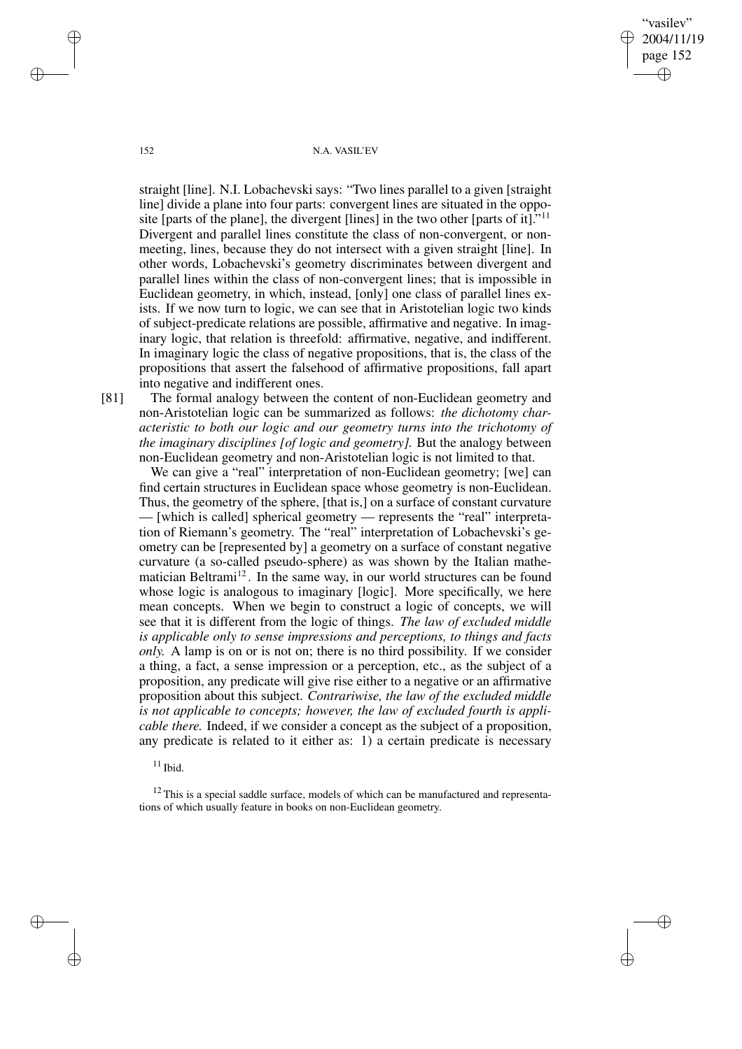"vasilev" 2004/11/19 page 152 ✐ ✐

✐

✐

152 N.A. VASIL'EV

straight [line]. N.I. Lobachevski says: "Two lines parallel to a given [straight line] divide a plane into four parts: convergent lines are situated in the opposite [parts of the plane], the divergent [lines] in the two other [parts of it]." 11 Divergent and parallel lines constitute the class of non-convergent, or nonmeeting, lines, because they do not intersect with a given straight [line]. In other words, Lobachevski's geometry discriminates between divergent and parallel lines within the class of non-convergent lines; that is impossible in Euclidean geometry, in which, instead, [only] one class of parallel lines exists. If we now turn to logic, we can see that in Aristotelian logic two kinds of subject-predicate relations are possible, affirmative and negative. In imaginary logic, that relation is threefold: affirmative, negative, and indifferent. In imaginary logic the class of negative propositions, that is, the class of the propositions that assert the falsehood of affirmative propositions, fall apart into negative and indifferent ones.

[81] The formal analogy between the content of non-Euclidean geometry and non-Aristotelian logic can be summarized as follows: *the dichotomy characteristic to both our logic and our geometry turns into the trichotomy of the imaginary disciplines [of logic and geometry].* But the analogy between non-Euclidean geometry and non-Aristotelian logic is not limited to that.

We can give a "real" interpretation of non-Euclidean geometry; [we] can find certain structures in Euclidean space whose geometry is non-Euclidean. Thus, the geometry of the sphere, [that is,] on a surface of constant curvature — [which is called] spherical geometry — represents the "real" interpretation of Riemann's geometry. The "real" interpretation of Lobachevski's geometry can be [represented by] a geometry on a surface of constant negative curvature (a so-called pseudo-sphere) as was shown by the Italian mathematician Beltrami<sup>12</sup>. In the same way, in our world structures can be found whose logic is analogous to imaginary [logic]. More specifically, we here mean concepts. When we begin to construct a logic of concepts, we will see that it is different from the logic of things. *The law of excluded middle is applicable only to sense impressions and perceptions, to things and facts only.* A lamp is on or is not on; there is no third possibility. If we consider a thing, a fact, a sense impression or a perception, etc., as the subject of a proposition, any predicate will give rise either to a negative or an affirmative proposition about this subject. *Contrariwise, the law of the excluded middle is not applicable to concepts; however, the law of excluded fourth is applicable there.* Indeed, if we consider a concept as the subject of a proposition, any predicate is related to it either as: 1) a certain predicate is necessary

 $11$  Ibid.

 $\rightarrow$ 

✐

 $12$  This is a special saddle surface, models of which can be manufactured and representations of which usually feature in books on non-Euclidean geometry.

 $\rightarrow$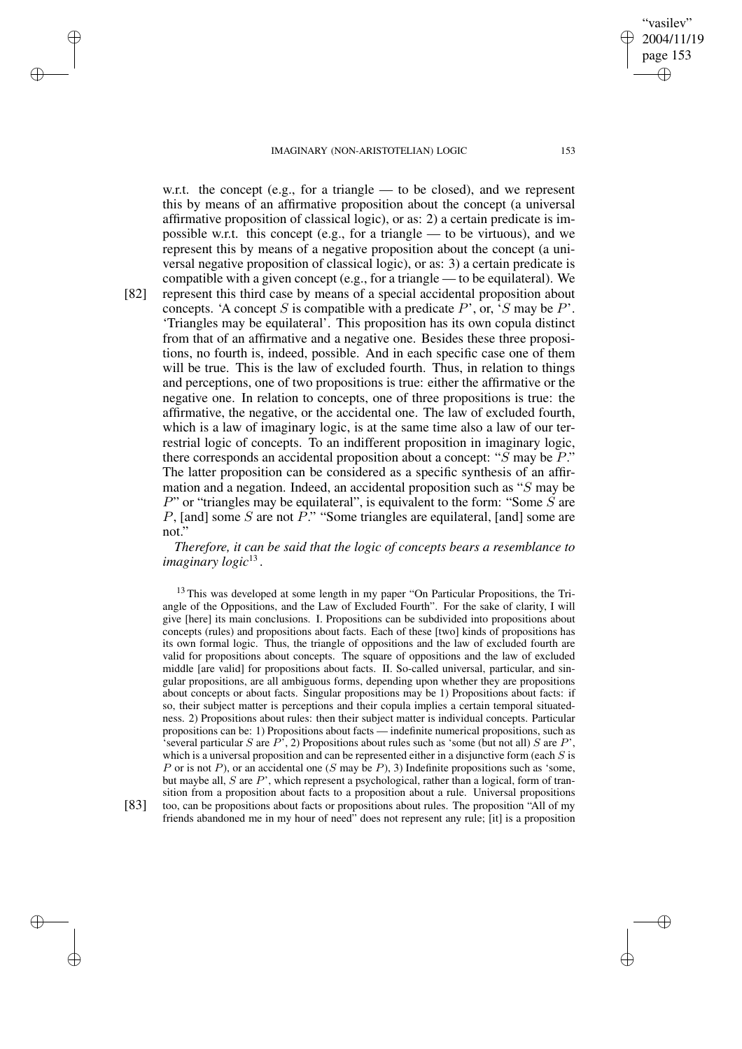w.r.t. the concept (e.g., for a triangle — to be closed), and we represent this by means of an affirmative proposition about the concept (a universal affirmative proposition of classical logic), or as: 2) a certain predicate is impossible w.r.t. this concept (e.g., for a triangle — to be virtuous), and we represent this by means of a negative proposition about the concept (a universal negative proposition of classical logic), or as: 3) a certain predicate is

compatible with a given concept (e.g., for a triangle — to be equilateral). We [82] represent this third case by means of a special accidental proposition about concepts. 'A concept S is compatible with a predicate  $P$ ', or, 'S may be  $P$ '. 'Triangles may be equilateral'. This proposition has its own copula distinct from that of an affirmative and a negative one. Besides these three propositions, no fourth is, indeed, possible. And in each specific case one of them will be true. This is the law of excluded fourth. Thus, in relation to things and perceptions, one of two propositions is true: either the affirmative or the negative one. In relation to concepts, one of three propositions is true: the affirmative, the negative, or the accidental one. The law of excluded fourth, which is a law of imaginary logic, is at the same time also a law of our terrestrial logic of concepts. To an indifferent proposition in imaginary logic, there corresponds an accidental proposition about a concept: " $\ddot{S}$  may be  $\ddot{P}$ ." The latter proposition can be considered as a specific synthesis of an affirmation and a negation. Indeed, an accidental proposition such as "S may be  $P$ " or "triangles may be equilateral", is equivalent to the form: "Some  $\ddot{S}$  are P, [and] some S are not  $\vec{P}$ ." "Some triangles are equilateral, [and] some are not."

*Therefore, it can be said that the logic of concepts bears a resemblance to imaginary logic*<sup>13</sup> .

 $13$  This was developed at some length in my paper "On Particular Propositions, the Triangle of the Oppositions, and the Law of Excluded Fourth". For the sake of clarity, I will give [here] its main conclusions. I. Propositions can be subdivided into propositions about concepts (rules) and propositions about facts. Each of these [two] kinds of propositions has its own formal logic. Thus, the triangle of oppositions and the law of excluded fourth are valid for propositions about concepts. The square of oppositions and the law of excluded middle [are valid] for propositions about facts. II. So-called universal, particular, and singular propositions, are all ambiguous forms, depending upon whether they are propositions about concepts or about facts. Singular propositions may be 1) Propositions about facts: if so, their subject matter is perceptions and their copula implies a certain temporal situatedness. 2) Propositions about rules: then their subject matter is individual concepts. Particular propositions can be: 1) Propositions about facts — indefinite numerical propositions, such as 'several particular S are  $P'$ , 2) Propositions about rules such as 'some (but not all) S are  $P'$ , which is a universal proposition and can be represented either in a disjunctive form (each  $S$  is P or is not P), or an accidental one (S may be P), 3) Indefinite propositions such as 'some, but maybe all,  $S$  are  $P'$ , which represent a psychological, rather than a logical, form of transition from a proposition about facts to a proposition about a rule. Universal propositions [83] too, can be propositions about facts or propositions about rules. The proposition "All of my friends abandoned me in my hour of need" does not represent any rule; [it] is a proposition

 $\rightarrow$ 

✐

 $\rightarrow$ 

✐

"vasilev" 2004/11/19 page 153

✐

✐

✐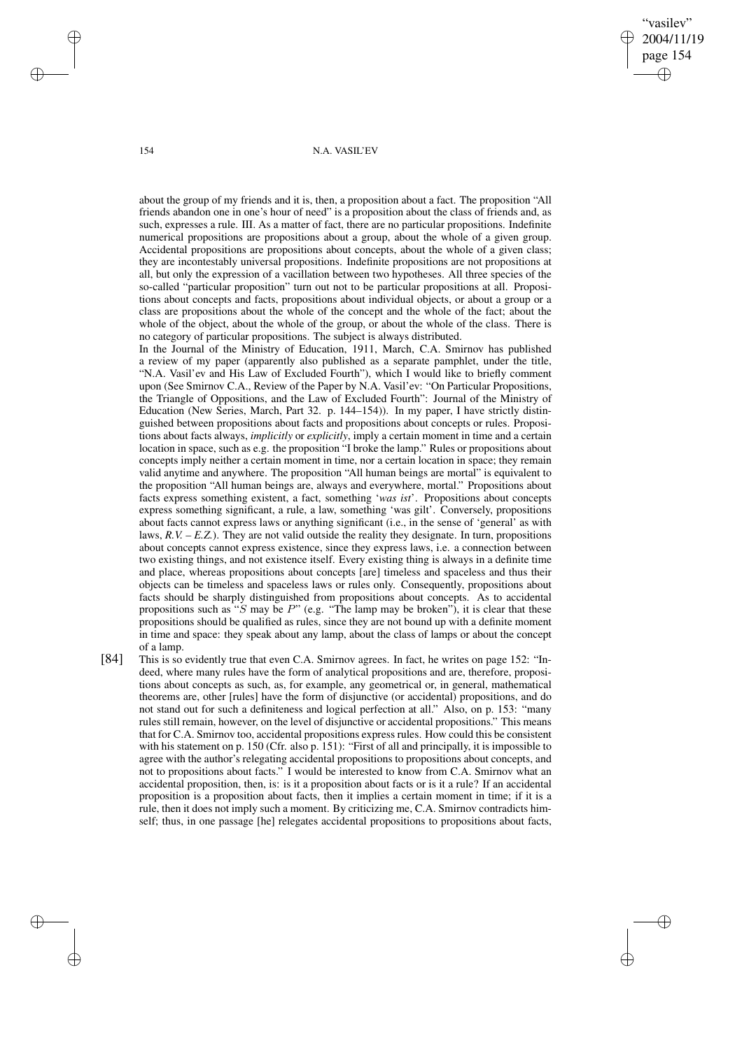"vasilev" 2004/11/19 page 154 ✐ ✐

✐

✐

## 154 N.A. VASIL'EV

about the group of my friends and it is, then, a proposition about a fact. The proposition "All friends abandon one in one's hour of need" is a proposition about the class of friends and, as such, expresses a rule. III. As a matter of fact, there are no particular propositions. Indefinite numerical propositions are propositions about a group, about the whole of a given group. Accidental propositions are propositions about concepts, about the whole of a given class; they are incontestably universal propositions. Indefinite propositions are not propositions at all, but only the expression of a vacillation between two hypotheses. All three species of the so-called "particular proposition" turn out not to be particular propositions at all. Propositions about concepts and facts, propositions about individual objects, or about a group or a class are propositions about the whole of the concept and the whole of the fact; about the whole of the object, about the whole of the group, or about the whole of the class. There is no category of particular propositions. The subject is always distributed.

In the Journal of the Ministry of Education, 1911, March, C.A. Smirnov has published a review of my paper (apparently also published as a separate pamphlet, under the title, "N.A. Vasil'ev and His Law of Excluded Fourth"), which I would like to briefly comment upon (See Smirnov C.A., Review of the Paper by N.A. Vasil'ev: "On Particular Propositions, the Triangle of Oppositions, and the Law of Excluded Fourth": Journal of the Ministry of Education (New Series, March, Part 32. p. 144–154)). In my paper, I have strictly distinguished between propositions about facts and propositions about concepts or rules. Propositions about facts always, *implicitly* or *explicitly*, imply a certain moment in time and a certain location in space, such as e.g. the proposition "I broke the lamp." Rules or propositions about concepts imply neither a certain moment in time, nor a certain location in space; they remain valid anytime and anywhere. The proposition "All human beings are mortal" is equivalent to the proposition "All human beings are, always and everywhere, mortal." Propositions about facts express something existent, a fact, something '*was ist*'. Propositions about concepts express something significant, a rule, a law, something 'was gilt'. Conversely, propositions about facts cannot express laws or anything significant (i.e., in the sense of 'general' as with laws, *R.V. – E.Z.*). They are not valid outside the reality they designate. In turn, propositions about concepts cannot express existence, since they express laws, i.e. a connection between two existing things, and not existence itself. Every existing thing is always in a definite time and place, whereas propositions about concepts [are] timeless and spaceless and thus their objects can be timeless and spaceless laws or rules only. Consequently, propositions about facts should be sharply distinguished from propositions about concepts. As to accidental propositions such as "S may be  $P$ " (e.g. "The lamp may be broken"), it is clear that these propositions should be qualified as rules, since they are not bound up with a definite moment in time and space: they speak about any lamp, about the class of lamps or about the concept of a lamp.

[84] This is so evidently true that even C.A. Smirnov agrees. In fact, he writes on page 152: "Indeed, where many rules have the form of analytical propositions and are, therefore, propositions about concepts as such, as, for example, any geometrical or, in general, mathematical theorems are, other [rules] have the form of disjunctive (or accidental) propositions, and do not stand out for such a definiteness and logical perfection at all." Also, on p. 153: "many rules still remain, however, on the level of disjunctive or accidental propositions." This means that for C.A. Smirnov too, accidental propositions express rules. How could this be consistent with his statement on p. 150 (Cfr. also p. 151): "First of all and principally, it is impossible to agree with the author's relegating accidental propositions to propositions about concepts, and not to propositions about facts." I would be interested to know from C.A. Smirnov what an accidental proposition, then, is: is it a proposition about facts or is it a rule? If an accidental proposition is a proposition about facts, then it implies a certain moment in time; if it is a rule, then it does not imply such a moment. By criticizing me, C.A. Smirnov contradicts himself; thus, in one passage [he] relegates accidental propositions to propositions about facts,

 $\rightarrow$ 

 $\rightarrow$ 

✐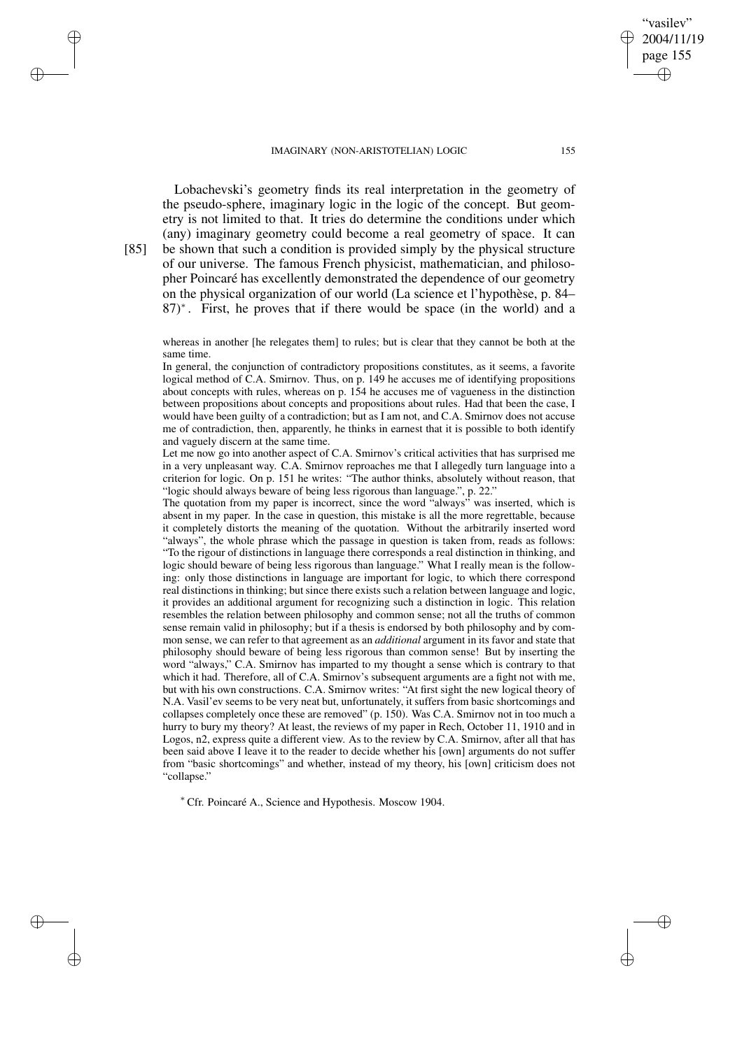Lobachevski's geometry finds its real interpretation in the geometry of the pseudo-sphere, imaginary logic in the logic of the concept. But geometry is not limited to that. It tries do determine the conditions under which (any) imaginary geometry could become a real geometry of space. It can [85] be shown that such a condition is provided simply by the physical structure of our universe. The famous French physicist, mathematician, and philosopher Poincaré has excellently demonstrated the dependence of our geometry on the physical organization of our world (La science et l'hypothèse, p. 84– 87)<sup>∗</sup> . First, he proves that if there would be space (in the world) and a

whereas in another [he relegates them] to rules; but is clear that they cannot be both at the same time.

In general, the conjunction of contradictory propositions constitutes, as it seems, a favorite logical method of C.A. Smirnov. Thus, on p. 149 he accuses me of identifying propositions about concepts with rules, whereas on p. 154 he accuses me of vagueness in the distinction between propositions about concepts and propositions about rules. Had that been the case, I would have been guilty of a contradiction; but as I am not, and C.A. Smirnov does not accuse me of contradiction, then, apparently, he thinks in earnest that it is possible to both identify and vaguely discern at the same time.

Let me now go into another aspect of C.A. Smirnov's critical activities that has surprised me in a very unpleasant way. C.A. Smirnov reproaches me that I allegedly turn language into a criterion for logic. On p. 151 he writes: "The author thinks, absolutely without reason, that "logic should always beware of being less rigorous than language.", p. 22."

The quotation from my paper is incorrect, since the word "always" was inserted, which is absent in my paper. In the case in question, this mistake is all the more regrettable, because it completely distorts the meaning of the quotation. Without the arbitrarily inserted word "always", the whole phrase which the passage in question is taken from, reads as follows: "To the rigour of distinctions in language there corresponds a real distinction in thinking, and logic should beware of being less rigorous than language." What I really mean is the following: only those distinctions in language are important for logic, to which there correspond real distinctions in thinking; but since there exists such a relation between language and logic, it provides an additional argument for recognizing such a distinction in logic. This relation resembles the relation between philosophy and common sense; not all the truths of common sense remain valid in philosophy; but if a thesis is endorsed by both philosophy and by common sense, we can refer to that agreement as an *additional* argument in its favor and state that philosophy should beware of being less rigorous than common sense! But by inserting the word "always," C.A. Smirnov has imparted to my thought a sense which is contrary to that which it had. Therefore, all of C.A. Smirnov's subsequent arguments are a fight not with me, but with his own constructions. C.A. Smirnov writes: "At first sight the new logical theory of N.A. Vasil'ev seems to be very neat but, unfortunately, it suffers from basic shortcomings and collapses completely once these are removed" (p. 150). Was C.A. Smirnov not in too much a hurry to bury my theory? At least, the reviews of my paper in Rech, October 11, 1910 and in Logos, n2, express quite a different view. As to the review by C.A. Smirnov, after all that has been said above I leave it to the reader to decide whether his [own] arguments do not suffer from "basic shortcomings" and whether, instead of my theory, his [own] criticism does not "collapse."

<sup>∗</sup> Cfr. Poincaré A., Science and Hypothesis. Moscow 1904.

vasilev" 2004/11/19 page 155

✐

✐

✐

✐

 $\rightarrow$ 

 $\rightarrow$ 

✐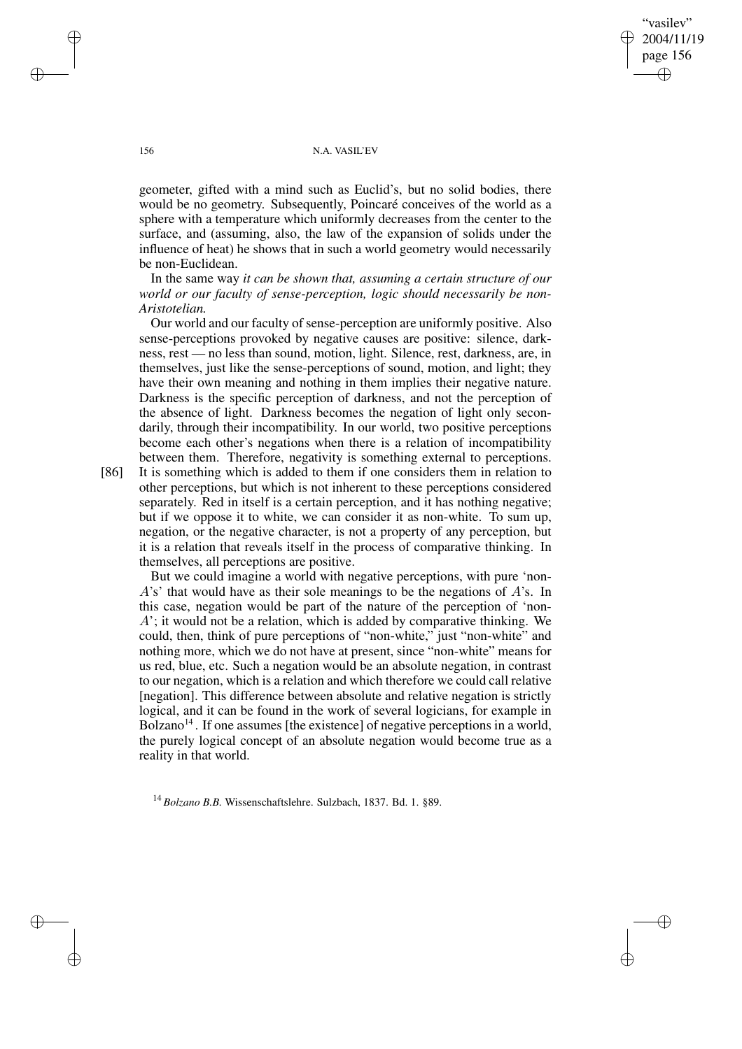"vasilev" 2004/11/19 page 156 ✐ ✐

✐

✐

## 156 N.A. VASIL'EV

geometer, gifted with a mind such as Euclid's, but no solid bodies, there would be no geometry. Subsequently, Poincaré conceives of the world as a sphere with a temperature which uniformly decreases from the center to the surface, and (assuming, also, the law of the expansion of solids under the influence of heat) he shows that in such a world geometry would necessarily be non-Euclidean.

In the same way *it can be shown that, assuming a certain structure of our world or our faculty of sense-perception, logic should necessarily be non-Aristotelian.*

Our world and our faculty of sense-perception are uniformly positive. Also sense-perceptions provoked by negative causes are positive: silence, darkness, rest — no less than sound, motion, light. Silence, rest, darkness, are, in themselves, just like the sense-perceptions of sound, motion, and light; they have their own meaning and nothing in them implies their negative nature. Darkness is the specific perception of darkness, and not the perception of the absence of light. Darkness becomes the negation of light only secondarily, through their incompatibility. In our world, two positive perceptions become each other's negations when there is a relation of incompatibility between them. Therefore, negativity is something external to perceptions.

[86] It is something which is added to them if one considers them in relation to other perceptions, but which is not inherent to these perceptions considered separately. Red in itself is a certain perception, and it has nothing negative; but if we oppose it to white, we can consider it as non-white. To sum up, negation, or the negative character, is not a property of any perception, but it is a relation that reveals itself in the process of comparative thinking. In themselves, all perceptions are positive.

But we could imagine a world with negative perceptions, with pure 'non-A's' that would have as their sole meanings to be the negations of A's. In this case, negation would be part of the nature of the perception of 'non-A'; it would not be a relation, which is added by comparative thinking. We could, then, think of pure perceptions of "non-white," just "non-white" and nothing more, which we do not have at present, since "non-white" means for us red, blue, etc. Such a negation would be an absolute negation, in contrast to our negation, which is a relation and which therefore we could call relative [negation]. This difference between absolute and relative negation is strictly logical, and it can be found in the work of several logicians, for example in Bolzano<sup>14</sup>. If one assumes [the existence] of negative perceptions in a world, the purely logical concept of an absolute negation would become true as a reality in that world.

<sup>14</sup> *Bolzano B.B.* Wissenschaftslehre. Sulzbach, 1837. Bd. 1. §89.

 $\rightarrow$ 

 $\rightarrow$ 

✐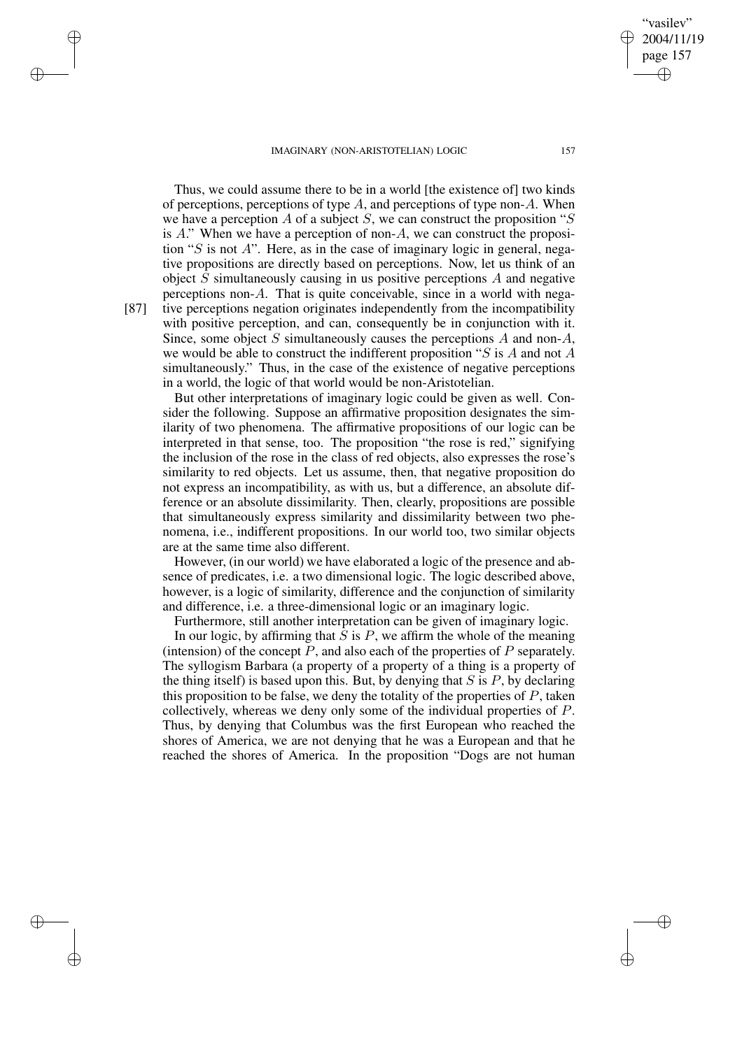Thus, we could assume there to be in a world [the existence of] two kinds of perceptions, perceptions of type  $A$ , and perceptions of type non- $A$ . When we have a perception A of a subject S, we can construct the proposition " $S$ is  $A$ ." When we have a perception of non- $A$ , we can construct the proposition "S is not A". Here, as in the case of imaginary logic in general, negative propositions are directly based on perceptions. Now, let us think of an object  $S$  simultaneously causing in us positive perceptions  $A$  and negative perceptions non-A. That is quite conceivable, since in a world with nega- [87] tive perceptions negation originates independently from the incompatibility with positive perception, and can, consequently be in conjunction with it. Since, some object S simultaneously causes the perceptions  $A$  and non- $A$ , we would be able to construct the indifferent proposition " $S$  is A and not A simultaneously." Thus, in the case of the existence of negative perceptions in a world, the logic of that world would be non-Aristotelian.

But other interpretations of imaginary logic could be given as well. Consider the following. Suppose an affirmative proposition designates the similarity of two phenomena. The affirmative propositions of our logic can be interpreted in that sense, too. The proposition "the rose is red," signifying the inclusion of the rose in the class of red objects, also expresses the rose's similarity to red objects. Let us assume, then, that negative proposition do not express an incompatibility, as with us, but a difference, an absolute difference or an absolute dissimilarity. Then, clearly, propositions are possible that simultaneously express similarity and dissimilarity between two phenomena, i.e., indifferent propositions. In our world too, two similar objects are at the same time also different.

However, (in our world) we have elaborated a logic of the presence and absence of predicates, i.e. a two dimensional logic. The logic described above, however, is a logic of similarity, difference and the conjunction of similarity and difference, i.e. a three-dimensional logic or an imaginary logic.

Furthermore, still another interpretation can be given of imaginary logic.

In our logic, by affirming that  $S$  is  $P$ , we affirm the whole of the meaning (intension) of the concept  $P$ , and also each of the properties of  $P$  separately. The syllogism Barbara (a property of a property of a thing is a property of the thing itself) is based upon this. But, by denying that  $S$  is  $P$ , by declaring this proposition to be false, we deny the totality of the properties of  $P$ , taken collectively, whereas we deny only some of the individual properties of P. Thus, by denying that Columbus was the first European who reached the shores of America, we are not denying that he was a European and that he reached the shores of America. In the proposition "Dogs are not human

 $\rightarrow$ 

 $\rightarrow$ 

✐

✐

"vasilev" 2004/11/19 page 157

✐

✐

✐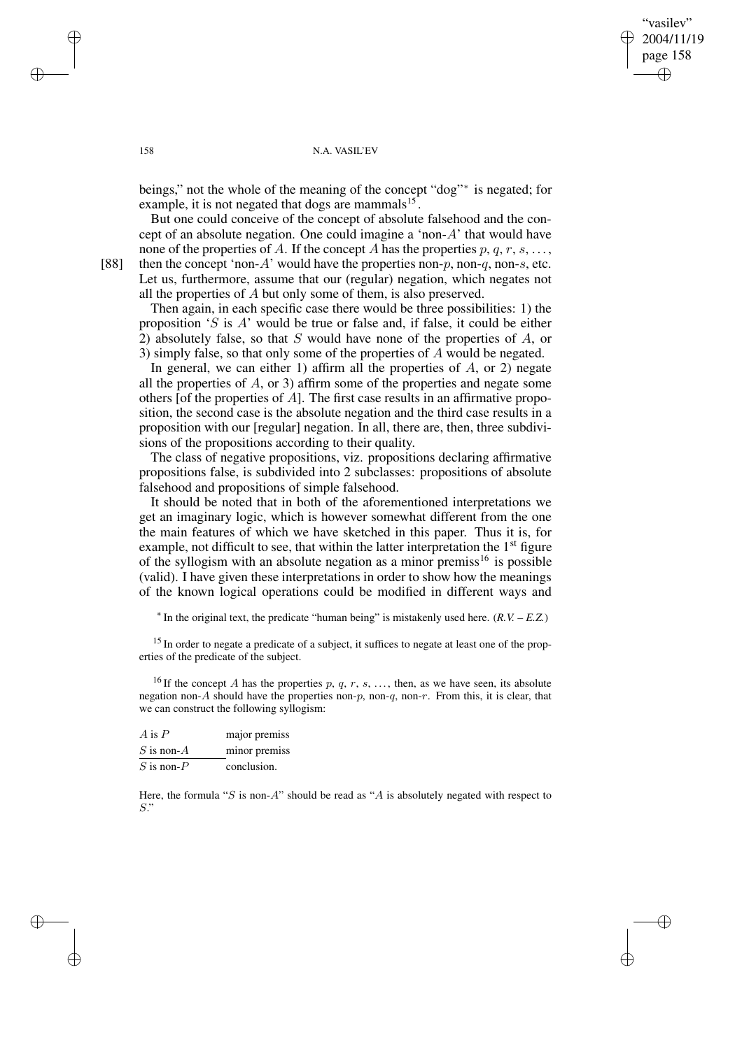"vasilev" 2004/11/19 page 158 ✐ ✐

✐

✐

## 158 N.A. VASIL'EV

beings," not the whole of the meaning of the concept "dog"<sup>∗</sup> is negated; for example, it is not negated that dogs are mammals $^{15}$ .

But one could conceive of the concept of absolute falsehood and the concept of an absolute negation. One could imagine a 'non-A' that would have none of the properties of A. If the concept A has the properties  $p, q, r, s, \ldots$ 

[88] then the concept 'non-A' would have the properties non-p, non-q, non-s, etc. Let us, furthermore, assume that our (regular) negation, which negates not all the properties of A but only some of them, is also preserved.

Then again, in each specific case there would be three possibilities: 1) the proposition 'S is A' would be true or false and, if false, it could be either 2) absolutely false, so that S would have none of the properties of  $A$ , or 3) simply false, so that only some of the properties of A would be negated.

In general, we can either 1) affirm all the properties of  $A$ , or 2) negate all the properties of A, or 3) affirm some of the properties and negate some others [of the properties of  $A$ ]. The first case results in an affirmative proposition, the second case is the absolute negation and the third case results in a proposition with our [regular] negation. In all, there are, then, three subdivisions of the propositions according to their quality.

The class of negative propositions, viz. propositions declaring affirmative propositions false, is subdivided into 2 subclasses: propositions of absolute falsehood and propositions of simple falsehood.

It should be noted that in both of the aforementioned interpretations we get an imaginary logic, which is however somewhat different from the one the main features of which we have sketched in this paper. Thus it is, for example, not difficult to see, that within the latter interpretation the 1<sup>st</sup> figure of the syllogism with an absolute negation as a minor premiss<sup>16</sup> is possible (valid). I have given these interpretations in order to show how the meanings of the known logical operations could be modified in different ways and

∗ In the original text, the predicate "human being" is mistakenly used here. (*R.V. – E.Z.*)

<sup>15</sup> In order to negate a predicate of a subject, it suffices to negate at least one of the properties of the predicate of the subject.

<sup>16</sup> If the concept A has the properties p, q, r, s, ..., then, as we have seen, its absolute negation non-A should have the properties non-p, non-q, non-r. From this, it is clear, that we can construct the following syllogism:

| A is $P$        | major premiss |
|-----------------|---------------|
| $S$ is non- $A$ | minor premiss |
| $S$ is non- $P$ | conclusion.   |

Here, the formula "S is non-A" should be read as "A is absolutely negated with respect to S."

 $\rightarrow$ 

 $\rightarrow$ 

✐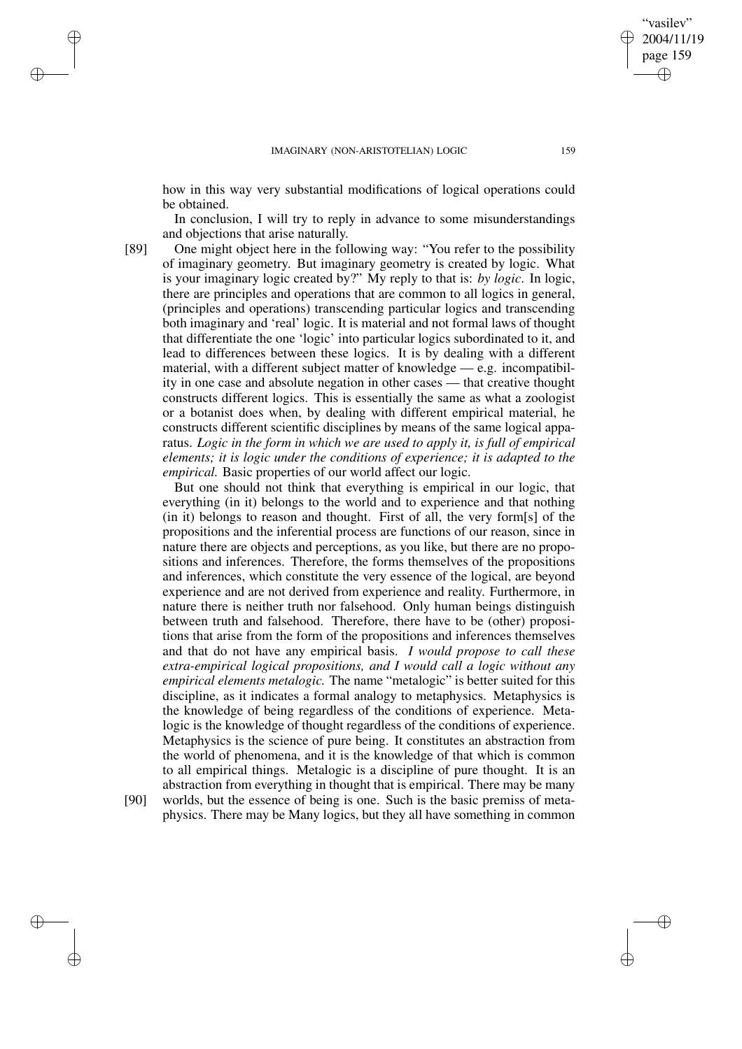how in this way very substantial modifications of logical operations could be obtained.

In conclusion, I will try to reply in advance to some misunderstandings and objections that arise naturally.

[89] One might object here in the following way: "You refer to the possibility of imaginary geometry. But imaginary geometry is created by logic. What is your imaginary logic created by?" My reply to that is: *by logic*. In logic, there are principles and operations that are common to all logics in general, (principles and operations) transcending particular logics and transcending both imaginary and 'real' logic. It is material and not formal laws of thought that differentiate the one 'logic' into particular logics subordinated to it, and lead to differences between these logics. It is by dealing with a different material, with a different subject matter of knowledge — e.g. incompatibility in one case and absolute negation in other cases — that creative thought constructs different logics. This is essentially the same as what a zoologist or a botanist does when, by dealing with different empirical material, he constructs different scientific disciplines by means of the same logical apparatus. *Logic in the form in which we are used to apply it, is full of empirical elements; it is logic under the conditions of experience; it is adapted to the empirical.* Basic properties of our world affect our logic.

But one should not think that everything is empirical in our logic, that everything (in it) belongs to the world and to experience and that nothing (in it) belongs to reason and thought. First of all, the very form[s] of the propositions and the inferential process are functions of our reason, since in nature there are objects and perceptions, as you like, but there are no propositions and inferences. Therefore, the forms themselves of the propositions and inferences, which constitute the very essence of the logical, are beyond experience and are not derived from experience and reality. Furthermore, in nature there is neither truth nor falsehood. Only human beings distinguish between truth and falsehood. Therefore, there have to be (other) propositions that arise from the form of the propositions and inferences themselves and that do not have any empirical basis. *I would propose to call these extra-empirical logical propositions, and I would call a logic without any empirical elements metalogic.* The name "metalogic" is better suited for this discipline, as it indicates a formal analogy to metaphysics. Metaphysics is the knowledge of being regardless of the conditions of experience. Metalogic is the knowledge of thought regardless of the conditions of experience. Metaphysics is the science of pure being. It constitutes an abstraction from the world of phenomena, and it is the knowledge of that which is common to all empirical things. Metalogic is a discipline of pure thought. It is an abstraction from everything in thought that is empirical. There may be many

✐

✐

✐

✐

[90] worlds, but the essence of being is one. Such is the basic premiss of metaphysics. There may be Many logics, but they all have something in common

"vasilev" 2004/11/19 page 159

✐

✐

✐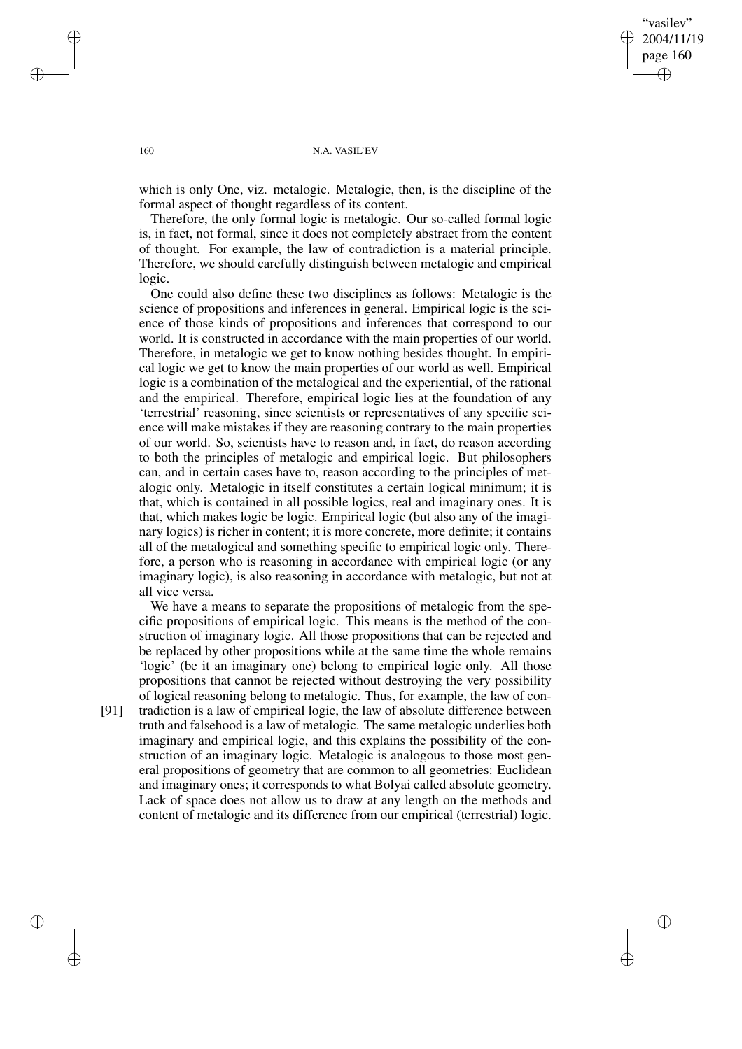"vasilev" 2004/11/19 page 160 ✐ ✐

✐

✐

## 160 N.A. VASIL'EV

which is only One, viz. metalogic. Metalogic, then, is the discipline of the formal aspect of thought regardless of its content.

Therefore, the only formal logic is metalogic. Our so-called formal logic is, in fact, not formal, since it does not completely abstract from the content of thought. For example, the law of contradiction is a material principle. Therefore, we should carefully distinguish between metalogic and empirical logic.

One could also define these two disciplines as follows: Metalogic is the science of propositions and inferences in general. Empirical logic is the science of those kinds of propositions and inferences that correspond to our world. It is constructed in accordance with the main properties of our world. Therefore, in metalogic we get to know nothing besides thought. In empirical logic we get to know the main properties of our world as well. Empirical logic is a combination of the metalogical and the experiential, of the rational and the empirical. Therefore, empirical logic lies at the foundation of any 'terrestrial' reasoning, since scientists or representatives of any specific science will make mistakes if they are reasoning contrary to the main properties of our world. So, scientists have to reason and, in fact, do reason according to both the principles of metalogic and empirical logic. But philosophers can, and in certain cases have to, reason according to the principles of metalogic only. Metalogic in itself constitutes a certain logical minimum; it is that, which is contained in all possible logics, real and imaginary ones. It is that, which makes logic be logic. Empirical logic (but also any of the imaginary logics) is richer in content; it is more concrete, more definite; it contains all of the metalogical and something specific to empirical logic only. Therefore, a person who is reasoning in accordance with empirical logic (or any imaginary logic), is also reasoning in accordance with metalogic, but not at all vice versa.

We have a means to separate the propositions of metalogic from the specific propositions of empirical logic. This means is the method of the construction of imaginary logic. All those propositions that can be rejected and be replaced by other propositions while at the same time the whole remains 'logic' (be it an imaginary one) belong to empirical logic only. All those propositions that cannot be rejected without destroying the very possibility of logical reasoning belong to metalogic. Thus, for example, the law of con-

[91] tradiction is a law of empirical logic, the law of absolute difference between truth and falsehood is a law of metalogic. The same metalogic underlies both imaginary and empirical logic, and this explains the possibility of the construction of an imaginary logic. Metalogic is analogous to those most general propositions of geometry that are common to all geometries: Euclidean and imaginary ones; it corresponds to what Bolyai called absolute geometry. Lack of space does not allow us to draw at any length on the methods and content of metalogic and its difference from our empirical (terrestrial) logic.

✐

✐

✐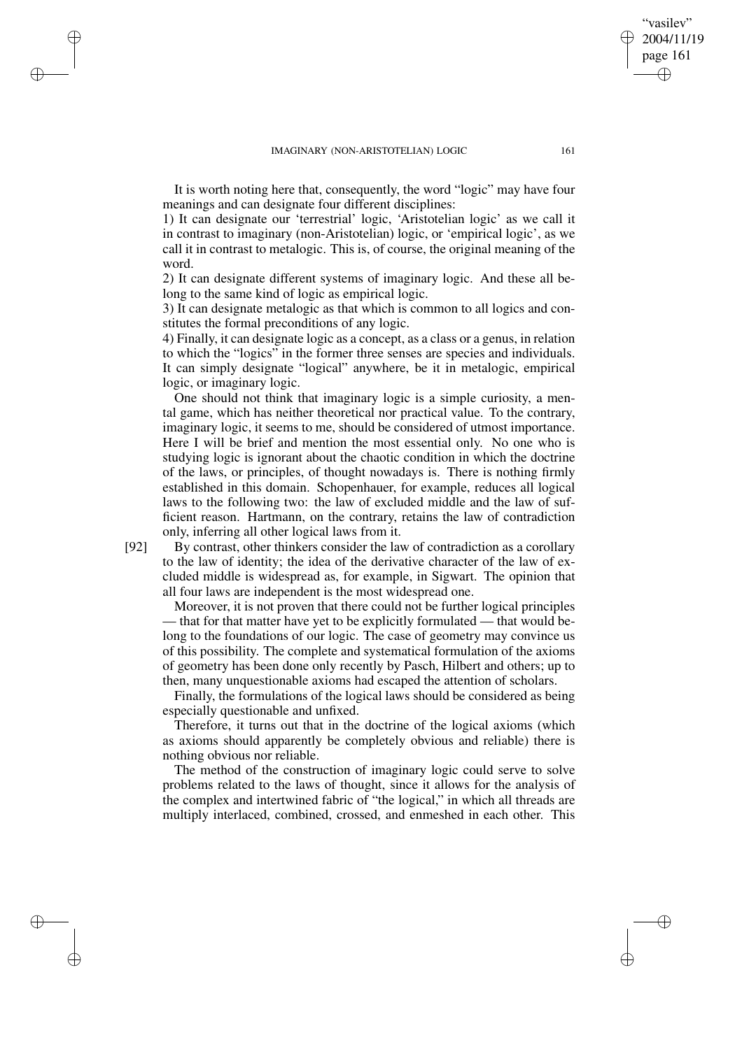It is worth noting here that, consequently, the word "logic" may have four meanings and can designate four different disciplines:

1) It can designate our 'terrestrial' logic, 'Aristotelian logic' as we call it in contrast to imaginary (non-Aristotelian) logic, or 'empirical logic', as we call it in contrast to metalogic. This is, of course, the original meaning of the word.

2) It can designate different systems of imaginary logic. And these all belong to the same kind of logic as empirical logic.

3) It can designate metalogic as that which is common to all logics and constitutes the formal preconditions of any logic.

4) Finally, it can designate logic as a concept, as a class or a genus, in relation to which the "logics" in the former three senses are species and individuals. It can simply designate "logical" anywhere, be it in metalogic, empirical logic, or imaginary logic.

One should not think that imaginary logic is a simple curiosity, a mental game, which has neither theoretical nor practical value. To the contrary, imaginary logic, it seems to me, should be considered of utmost importance. Here I will be brief and mention the most essential only. No one who is studying logic is ignorant about the chaotic condition in which the doctrine of the laws, or principles, of thought nowadays is. There is nothing firmly established in this domain. Schopenhauer, for example, reduces all logical laws to the following two: the law of excluded middle and the law of sufficient reason. Hartmann, on the contrary, retains the law of contradiction only, inferring all other logical laws from it.

[92] By contrast, other thinkers consider the law of contradiction as a corollary to the law of identity; the idea of the derivative character of the law of excluded middle is widespread as, for example, in Sigwart. The opinion that all four laws are independent is the most widespread one.

Moreover, it is not proven that there could not be further logical principles — that for that matter have yet to be explicitly formulated — that would belong to the foundations of our logic. The case of geometry may convince us of this possibility. The complete and systematical formulation of the axioms of geometry has been done only recently by Pasch, Hilbert and others; up to then, many unquestionable axioms had escaped the attention of scholars.

Finally, the formulations of the logical laws should be considered as being especially questionable and unfixed.

Therefore, it turns out that in the doctrine of the logical axioms (which as axioms should apparently be completely obvious and reliable) there is nothing obvious nor reliable.

The method of the construction of imaginary logic could serve to solve problems related to the laws of thought, since it allows for the analysis of the complex and intertwined fabric of "the logical," in which all threads are multiply interlaced, combined, crossed, and enmeshed in each other. This

✐

✐

✐

✐

"vasilev" 2004/11/19 page 161

✐

✐

✐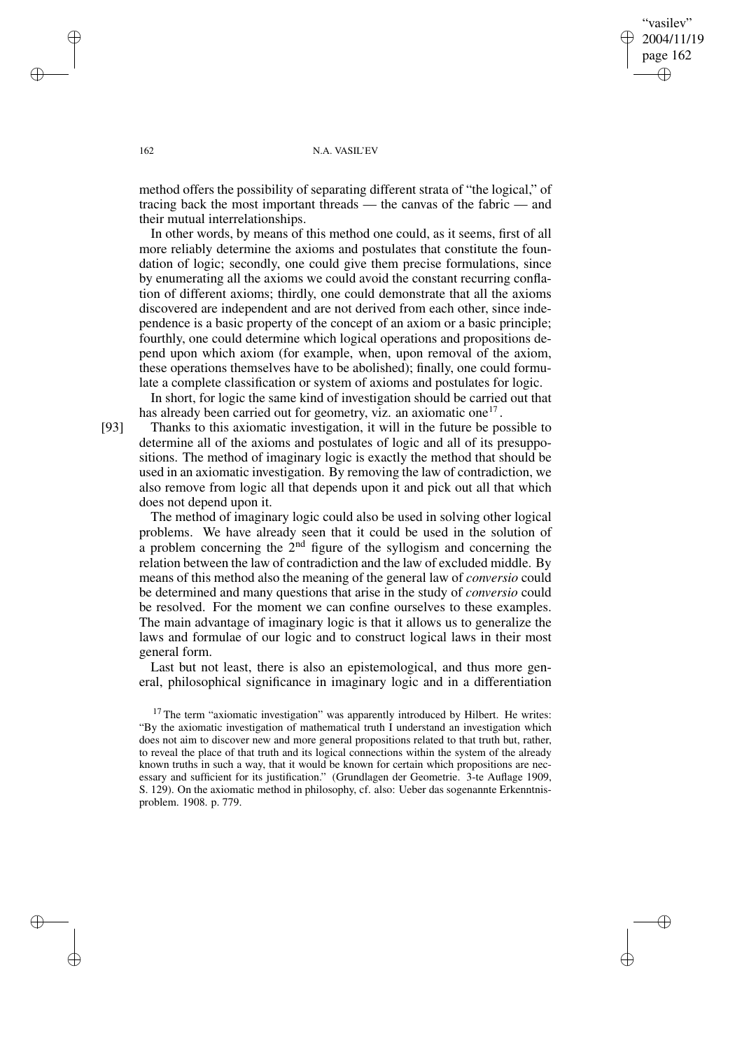vasilev" 2004/11/19 page 162 ✐ ✐

✐

✐

## 162 N.A. VASIL'EV

method offers the possibility of separating different strata of "the logical," of tracing back the most important threads — the canvas of the fabric — and their mutual interrelationships.

In other words, by means of this method one could, as it seems, first of all more reliably determine the axioms and postulates that constitute the foundation of logic; secondly, one could give them precise formulations, since by enumerating all the axioms we could avoid the constant recurring conflation of different axioms; thirdly, one could demonstrate that all the axioms discovered are independent and are not derived from each other, since independence is a basic property of the concept of an axiom or a basic principle; fourthly, one could determine which logical operations and propositions depend upon which axiom (for example, when, upon removal of the axiom, these operations themselves have to be abolished); finally, one could formulate a complete classification or system of axioms and postulates for logic.

In short, for logic the same kind of investigation should be carried out that has already been carried out for geometry, viz. an axiomatic one<sup>17</sup>.

[93] Thanks to this axiomatic investigation, it will in the future be possible to determine all of the axioms and postulates of logic and all of its presuppositions. The method of imaginary logic is exactly the method that should be used in an axiomatic investigation. By removing the law of contradiction, we also remove from logic all that depends upon it and pick out all that which does not depend upon it.

The method of imaginary logic could also be used in solving other logical problems. We have already seen that it could be used in the solution of a problem concerning the  $2<sup>nd</sup>$  figure of the syllogism and concerning the relation between the law of contradiction and the law of excluded middle. By means of this method also the meaning of the general law of *conversio* could be determined and many questions that arise in the study of *conversio* could be resolved. For the moment we can confine ourselves to these examples. The main advantage of imaginary logic is that it allows us to generalize the laws and formulae of our logic and to construct logical laws in their most general form.

Last but not least, there is also an epistemological, and thus more general, philosophical significance in imaginary logic and in a differentiation

✐

✐

✐

<sup>&</sup>lt;sup>17</sup> The term "axiomatic investigation" was apparently introduced by Hilbert. He writes: "By the axiomatic investigation of mathematical truth I understand an investigation which does not aim to discover new and more general propositions related to that truth but, rather, to reveal the place of that truth and its logical connections within the system of the already known truths in such a way, that it would be known for certain which propositions are necessary and sufficient for its justification." (Grundlagen der Geometrie. 3-te Auflage 1909, S. 129). On the axiomatic method in philosophy, cf. also: Ueber das sogenannte Erkenntnisproblem. 1908. p. 779.